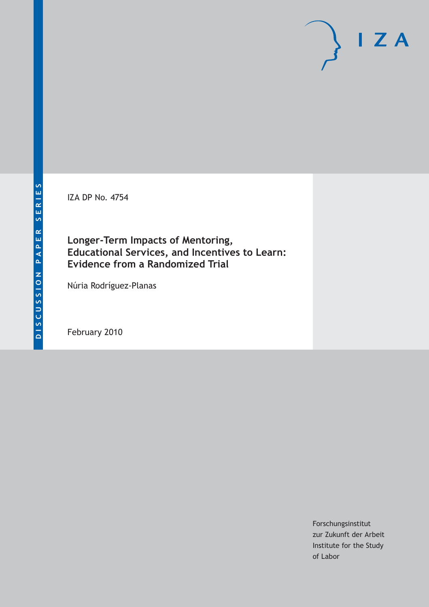IZA DP No. 4754

## **Longer-Term Impacts of Mentoring, Educational Services, and Incentives to Learn: Evidence from a Randomized Trial**

Núria Rodríguez-Planas

February 2010

Forschungsinstitut zur Zukunft der Arbeit Institute for the Study of Labor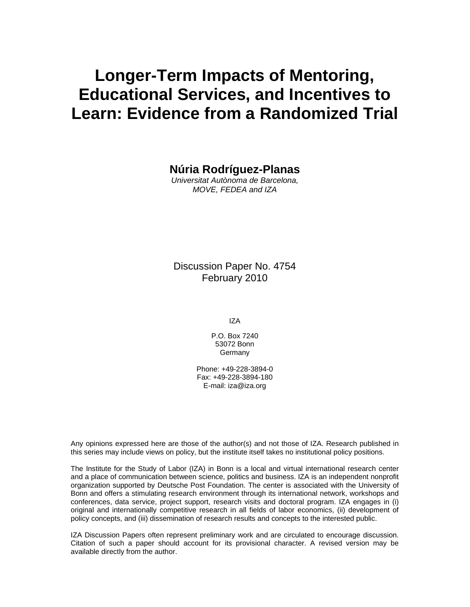# **Longer-Term Impacts of Mentoring, Educational Services, and Incentives to Learn: Evidence from a Randomized Trial**

**Núria Rodríguez-Planas** 

*Universitat Autònoma de Barcelona, MOVE, FEDEA and IZA* 

Discussion Paper No. 4754 February 2010

IZA

P.O. Box 7240 53072 Bonn **Germany** 

Phone: +49-228-3894-0 Fax: +49-228-3894-180 E-mail: iza@iza.org

Any opinions expressed here are those of the author(s) and not those of IZA. Research published in this series may include views on policy, but the institute itself takes no institutional policy positions.

The Institute for the Study of Labor (IZA) in Bonn is a local and virtual international research center and a place of communication between science, politics and business. IZA is an independent nonprofit organization supported by Deutsche Post Foundation. The center is associated with the University of Bonn and offers a stimulating research environment through its international network, workshops and conferences, data service, project support, research visits and doctoral program. IZA engages in (i) original and internationally competitive research in all fields of labor economics, (ii) development of policy concepts, and (iii) dissemination of research results and concepts to the interested public.

IZA Discussion Papers often represent preliminary work and are circulated to encourage discussion. Citation of such a paper should account for its provisional character. A revised version may be available directly from the author.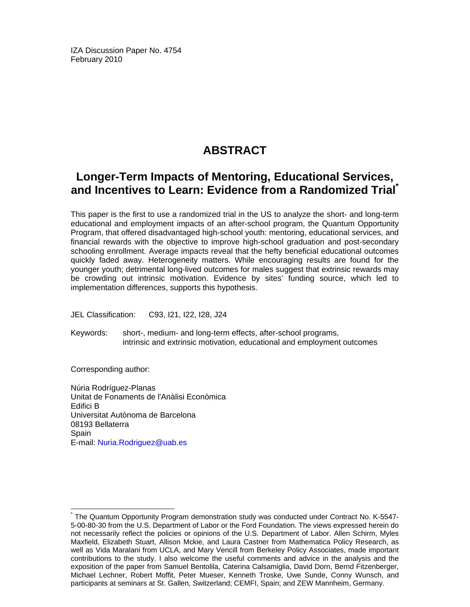IZA Discussion Paper No. 4754 February 2010

## **ABSTRACT**

## **Longer-Term Impacts of Mentoring, Educational Services, and Incentives to Learn: Evidence from a Randomized Trial\***

This paper is the first to use a randomized trial in the US to analyze the short- and long-term educational and employment impacts of an after-school program, the Quantum Opportunity Program, that offered disadvantaged high-school youth: mentoring, educational services, and financial rewards with the objective to improve high-school graduation and post-secondary schooling enrollment. Average impacts reveal that the hefty beneficial educational outcomes quickly faded away. Heterogeneity matters. While encouraging results are found for the younger youth; detrimental long-lived outcomes for males suggest that extrinsic rewards may be crowding out intrinsic motivation. Evidence by sites' funding source, which led to implementation differences, supports this hypothesis.

JEL Classification: C93, I21, I22, I28, J24

Keywords: short-, medium- and long-term effects, after-school programs, intrinsic and extrinsic motivation, educational and employment outcomes

Corresponding author:

-

Núria Rodríguez-Planas Unitat de Fonaments de l'Anàlisi Econòmica Edifici B Universitat Autònoma de Barcelona 08193 Bellaterra **Spain** E-mail: Nuria.Rodriguez@uab.es

<sup>\*</sup> The Quantum Opportunity Program demonstration study was conducted under Contract No. K-5547- 5-00-80-30 from the U.S. Department of Labor or the Ford Foundation. The views expressed herein do not necessarily reflect the policies or opinions of the U.S. Department of Labor. Allen Schirm, Myles Maxfield, Elizabeth Stuart, Allison Mckie, and Laura Castner from Mathematica Policy Research, as well as Vida Maralani from UCLA, and Mary Vencill from Berkeley Policy Associates, made important contributions to the study. I also welcome the useful comments and advice in the analysis and the exposition of the paper from Samuel Bentolila, Caterina Calsamiglia, David Dorn, Bernd Fitzenberger, Michael Lechner, Robert Moffit, Peter Mueser, Kenneth Troske, Uwe Sunde, Conny Wunsch, and participants at seminars at St. Gallen, Switzerland; CEMFI, Spain; and ZEW Mannheim, Germany.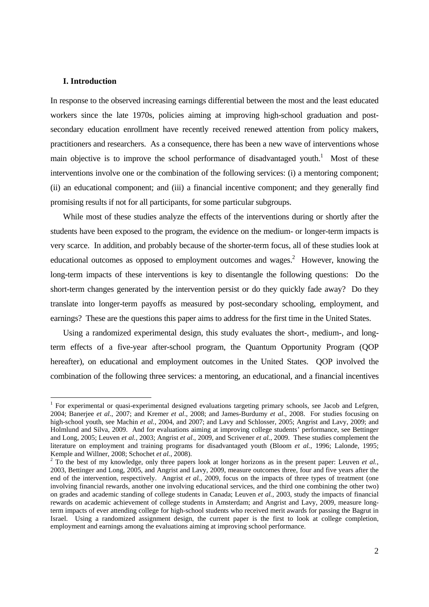#### **I. Introduction**

-

In response to the observed increasing earnings differential between the most and the least educated workers since the late 1970s, policies aiming at improving high-school graduation and postsecondary education enrollment have recently received renewed attention from policy makers, practitioners and researchers. As a consequence, there has been a new wave of interventions whose main objective is to improve the school performance of disadvantaged youth.<sup>1</sup> Most of these interventions involve one or the combination of the following services: (i) a mentoring component; (ii) an educational component; and (iii) a financial incentive component; and they generally find promising results if not for all participants, for some particular subgroups.

 While most of these studies analyze the effects of the interventions during or shortly after the students have been exposed to the program, the evidence on the medium- or longer-term impacts is very scarce. In addition, and probably because of the shorter-term focus, all of these studies look at educational outcomes as opposed to employment outcomes and wages.<sup>2</sup> However, knowing the long-term impacts of these interventions is key to disentangle the following questions: Do the short-term changes generated by the intervention persist or do they quickly fade away? Do they translate into longer-term payoffs as measured by post-secondary schooling, employment, and earnings? These are the questions this paper aims to address for the first time in the United States.

 Using a randomized experimental design, this study evaluates the short-, medium-, and longterm effects of a five-year after-school program, the Quantum Opportunity Program (QOP hereafter), on educational and employment outcomes in the United States. QOP involved the combination of the following three services: a mentoring, an educational, and a financial incentives

<sup>&</sup>lt;sup>1</sup> For experimental or quasi-experimental designed evaluations targeting primary schools, see Jacob and Lefgren, 2004; Banerjee *et al*., 2007; and Kremer *et al*., 2008; and James-Burdumy *et al*., 2008. For studies focusing on high-school youth, see Machin *et al.*, 2004, and 2007; and Lavy and Schlosser, 2005; Angrist and Lavy, 2009; and Holmlund and Silva, 2009. And for evaluations aiming at improving college students' performance, see Bettinger and Long, 2005; Leuven *et al.*, 2003; Angrist *et al*., 2009, and Scrivener *et al.*, 2009. These studies complement the literature on employment and training programs for disadvantaged youth (Bloom *et al.*, 1996; Lalonde, 1995; Kemple and Willner, 2008; Schochet *et al.*, 2008).

<sup>&</sup>lt;sup>2</sup> To the best of my knowledge, only three papers look at longer horizons as in the present paper: Leuven *et al.*, 2003, Bettinger and Long, 2005, and Angrist and Lavy, 2009, measure outcomes three, four and five years after the end of the intervention, respectively. Angrist *et al.*, 2009, focus on the impacts of three types of treatment (one involving financial rewards, another one involving educational services, and the third one combining the other two) on grades and academic standing of college students in Canada; Leuven *et al.*, 2003, study the impacts of financial rewards on academic achievement of college students in Amsterdam; and Angrist and Lavy, 2009, measure longterm impacts of ever attending college for high-school students who received merit awards for passing the Bagrut in Israel. Using a randomized assignment design, the current paper is the first to look at college completion, employment and earnings among the evaluations aiming at improving school performance.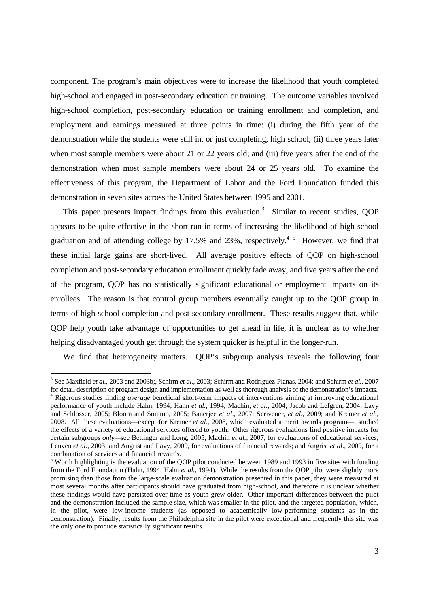component. The program's main objectives were to increase the likelihood that youth completed high-school and engaged in post-secondary education or training. The outcome variables involved high-school completion, post-secondary education or training enrollment and completion, and employment and earnings measured at three points in time: (i) during the fifth year of the demonstration while the students were still in, or just completing, high school; (ii) three years later when most sample members were about 21 or 22 years old; and (iii) five years after the end of the demonstration when most sample members were about 24 or 25 years old. To examine the effectiveness of this program, the Department of Labor and the Ford Foundation funded this demonstration in seven sites across the United States between 1995 and 2001.

This paper presents impact findings from this evaluation.<sup>3</sup> Similar to recent studies, QOP appears to be quite effective in the short-run in terms of increasing the likelihood of high-school graduation and of attending college by 17.5% and 23%, respectively.<sup>45</sup> However, we find that these initial large gains are short-lived. All average positive effects of QOP on high-school completion and post-secondary education enrollment quickly fade away, and five years after the end of the program, QOP has no statistically significant educational or employment impacts on its enrollees. The reason is that control group members eventually caught up to the QOP group in terms of high school completion and post-secondary enrollment. These results suggest that, while QOP help youth take advantage of opportunities to get ahead in life, it is unclear as to whether helping disadvantaged youth get through the system quicker is helpful in the longer-run.

We find that heterogeneity matters. QOP's subgroup analysis reveals the following four

 3 See Maxfield *et al.*, 2003 and 2003b;, Schirm *et al.,* 2003; Schirm and Rodríguez-Planas, 2004; and Schirm *et al.*, 2007 for detail description of program design and implementation as well as thorough analysis of the demonstration's impacts.

<sup>4</sup> Rigorous studies finding *average* beneficial short-term impacts of interventions aiming at improving educational performance of youth include Hahn, 1994; Hahn *et al.*, 1994; Machin, *et al.*, 2004; Jacob and Lefgren, 2004; Lavy and Schlosser, 2005; Bloom and Sommo, 2005; Banerjee *et al*., 2007; Scrivener, *et al.*, 2009; and Kremer *et al*., 2008. All these evaluations—except for Kremer *et al.*, 2008, which evaluated a merit awards program—, studied the effects of a variety of educational services offered to youth. Other rigorous evaluations find positive impacts for certain subgroups *only—*see Bettinger and Long, 2005; Machin *et al.*, 2007, for evaluations of educational services; Leuven *et al.*, 2003; and Angrist and Lavy, 2009, for evaluations of financial rewards; and Angrist *et al*., 2009, for a combination of services and financial rewards.

<sup>&</sup>lt;sup>5</sup> Worth highlighting is the evaluation of the QOP pilot conducted between 1989 and 1993 in five sites with funding from the Ford Foundation (Hahn, 1994; Hahn *et al.*, 1994). While the results from the QOP pilot were slightly more promising than those from the large-scale evaluation demonstration presented in this paper, they were measured at most several months after participants should have graduated from high-school, and therefore it is unclear whether these findings would have persisted over time as youth grew older. Other important differences between the pilot and the demonstration included the sample size, which was smaller in the pilot, and the targeted population, which, in the pilot, were low-income students (as opposed to academically low-performing students as in the demonstration). Finally, results from the Philadelphia site in the pilot were exceptional and frequently this site was the only one to produce statistically significant results.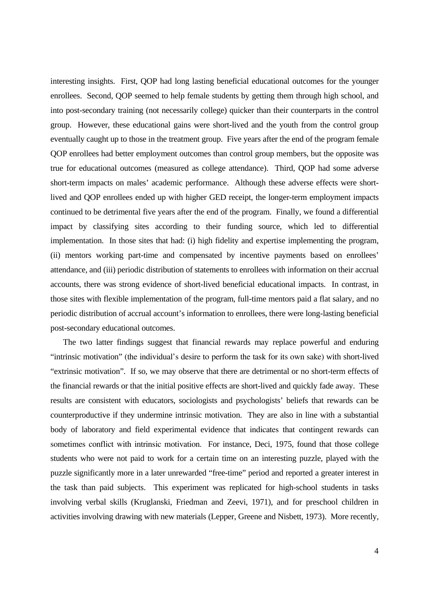interesting insights. First, QOP had long lasting beneficial educational outcomes for the younger enrollees. Second, QOP seemed to help female students by getting them through high school, and into post-secondary training (not necessarily college) quicker than their counterparts in the control group. However, these educational gains were short-lived and the youth from the control group eventually caught up to those in the treatment group. Five years after the end of the program female QOP enrollees had better employment outcomes than control group members, but the opposite was true for educational outcomes (measured as college attendance). Third, QOP had some adverse short-term impacts on males' academic performance. Although these adverse effects were shortlived and QOP enrollees ended up with higher GED receipt, the longer-term employment impacts continued to be detrimental five years after the end of the program. Finally, we found a differential impact by classifying sites according to their funding source, which led to differential implementation. In those sites that had: (i) high fidelity and expertise implementing the program, (ii) mentors working part-time and compensated by incentive payments based on enrollees' attendance, and (iii) periodic distribution of statements to enrollees with information on their accrual accounts, there was strong evidence of short-lived beneficial educational impacts. In contrast, in those sites with flexible implementation of the program, full-time mentors paid a flat salary, and no periodic distribution of accrual account's information to enrollees, there were long-lasting beneficial post-secondary educational outcomes.

 The two latter findings suggest that financial rewards may replace powerful and enduring "intrinsic motivation" (the individual's desire to perform the task for its own sake) with short-lived "extrinsic motivation". If so, we may observe that there are detrimental or no short-term effects of the financial rewards or that the initial positive effects are short-lived and quickly fade away. These results are consistent with educators, sociologists and psychologists' beliefs that rewards can be counterproductive if they undermine intrinsic motivation. They are also in line with a substantial body of laboratory and field experimental evidence that indicates that contingent rewards can sometimes conflict with intrinsic motivation. For instance, Deci, 1975, found that those college students who were not paid to work for a certain time on an interesting puzzle, played with the puzzle significantly more in a later unrewarded "free-time" period and reported a greater interest in the task than paid subjects. This experiment was replicated for high-school students in tasks involving verbal skills (Kruglanski, Friedman and Zeevi, 1971), and for preschool children in activities involving drawing with new materials (Lepper, Greene and Nisbett, 1973). More recently,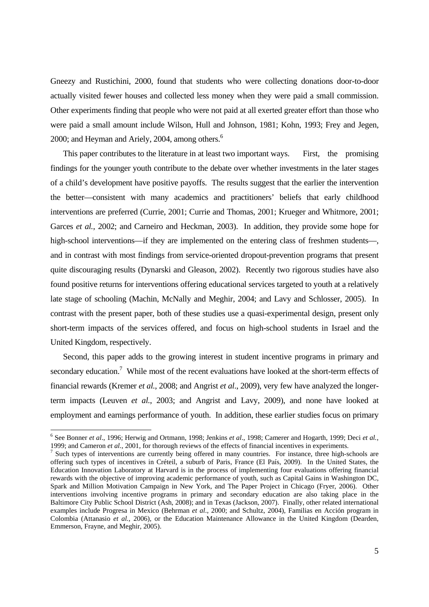Gneezy and Rustichini, 2000, found that students who were collecting donations door-to-door actually visited fewer houses and collected less money when they were paid a small commission. Other experiments finding that people who were not paid at all exerted greater effort than those who were paid a small amount include Wilson, Hull and Johnson, 1981; Kohn, 1993; Frey and Jegen, 2000; and Heyman and Ariely, 2004, among others.<sup>6</sup>

This paper contributes to the literature in at least two important ways. First, the promising findings for the younger youth contribute to the debate over whether investments in the later stages of a child's development have positive payoffs. The results suggest that the earlier the intervention the better—consistent with many academics and practitioners' beliefs that early childhood interventions are preferred (Currie, 2001; Currie and Thomas, 2001; Krueger and Whitmore, 2001; Garces *et al.*, 2002; and Carneiro and Heckman, 2003). In addition, they provide some hope for high-school interventions—if they are implemented on the entering class of freshmen students—, and in contrast with most findings from service-oriented dropout-prevention programs that present quite discouraging results (Dynarski and Gleason, 2002). Recently two rigorous studies have also found positive returns for interventions offering educational services targeted to youth at a relatively late stage of schooling (Machin, McNally and Meghir, 2004; and Lavy and Schlosser, 2005). In contrast with the present paper, both of these studies use a quasi-experimental design, present only short-term impacts of the services offered, and focus on high-school students in Israel and the United Kingdom, respectively.

 Second, this paper adds to the growing interest in student incentive programs in primary and secondary education.<sup>7</sup> While most of the recent evaluations have looked at the short-term effects of financial rewards (Kremer *et al.*, 2008; and Angrist *et al*., 2009), very few have analyzed the longerterm impacts (Leuven *et al.*, 2003; and Angrist and Lavy, 2009), and none have looked at employment and earnings performance of youth. In addition, these earlier studies focus on primary

 $\overline{a}$ 

<sup>6</sup> See Bonner *et al*., 1996; Herwig and Ortmann, 1998; Jenkins *et al*., 1998; Camerer and Hogarth, 1999; Deci *et al.*, 1999; and Cameron *et al.*, 2001, for thorough reviews of the effects of financial incentives in experiments.

 $\frac{1}{2}$  Such types of interventions are currently being offered in many countries. For instance, three high-schools are offering such types of incentives in Créteil, a suburb of Paris, France (El País, 2009). In the United States, the Education Innovation Laboratory at Harvard is in the process of implementing four evaluations offering financial rewards with the objective of improving academic performance of youth, such as Capital Gains in Washington DC, Spark and Million Motivation Campaign in New York, and The Paper Project in Chicago (Fryer, 2006). Other interventions involving incentive programs in primary and secondary education are also taking place in the Baltimore City Public School District (Ash, 2008); and in Texas (Jackson, 2007). Finally, other related international examples include Progresa in Mexico (Behrman *et al*., 2000; and Schultz, 2004), Familias en Acción program in Colombia (Attanasio *et al.,* 2006), or the Education Maintenance Allowance in the United Kingdom (Dearden, Emmerson, Frayne, and Meghir, 2005).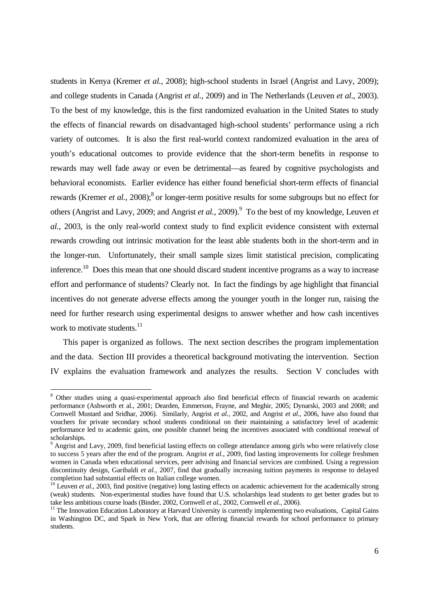students in Kenya (Kremer *et al.*, 2008); high-school students in Israel (Angrist and Lavy, 2009); and college students in Canada (Angrist *et al.*, 2009) and in The Netherlands (Leuven *et al*., 2003). To the best of my knowledge, this is the first randomized evaluation in the United States to study the effects of financial rewards on disadvantaged high-school students' performance using a rich variety of outcomes. It is also the first real-world context randomized evaluation in the area of youth's educational outcomes to provide evidence that the short-term benefits in response to rewards may well fade away or even be detrimental—as feared by cognitive psychologists and behavioral economists. Earlier evidence has either found beneficial short-term effects of financial rewards (Kremer *et al.*, 2008);<sup>8</sup> or longer-term positive results for some subgroups but no effect for others (Angrist and Lavy, 2009; and Angrist *et al.*, 2009).<sup>9</sup> To the best of my knowledge, Leuven *et al.*, 2003, is the only real-world context study to find explicit evidence consistent with external rewards crowding out intrinsic motivation for the least able students both in the short-term and in the longer-run. Unfortunately, their small sample sizes limit statistical precision, complicating inference.<sup>10</sup> Does this mean that one should discard student incentive programs as a way to increase effort and performance of students? Clearly not. In fact the findings by age highlight that financial incentives do not generate adverse effects among the younger youth in the longer run, raising the need for further research using experimental designs to answer whether and how cash incentives work to motivate students.<sup>11</sup>

 This paper is organized as follows. The next section describes the program implementation and the data. Section III provides a theoretical background motivating the intervention. Section IV explains the evaluation framework and analyzes the results. Section V concludes with

-

<sup>&</sup>lt;sup>8</sup> Other studies using a quasi-experimental approach also find beneficial effects of financial rewards on academic performance (Ashworth et al., 2001; Dearden, Emmerson, Frayne, and Meghir, 2005; Dynarski, 2003 and 2008; and Cornwell Mustard and Sridhar, 2006). Similarly, Angrist *et al.,* 2002, and Angrist *et al*., 2006, have also found that vouchers for private secondary school students conditional on their maintaining a satisfactory level of academic performance led to academic gains, one possible channel being the incentives associated with conditional renewal of scholarships.

<sup>&</sup>lt;sup>9</sup> Angrist and Lavy, 2009, find beneficial lasting effects on college attendance among girls who were relatively close to success 5 years after the end of the program. Angrist *et al*., 2009, find lasting improvements for college freshmen women in Canada when educational services, peer advising and financial services are combined. Using a regression discontinuity design, Garibaldi *et al.*, 2007, find that gradually increasing tuition payments in response to delayed completion had substantial effects on Italian college women.

 $10$  Leuven *et al.*, 2003, find positive (negative) long lasting effects on academic achievement for the academically strong (weak) students. Non-experimental studies have found that U.S. scholarships lead students to get better grades but to take less ambitious course loads (Binder, 2002, Cornwell *et al.*, 2002, Cornwell *et al.*, 2006).

<sup>&</sup>lt;sup>11</sup> The Innovation Education Laboratory at Harvard University is currently implementing two evaluations, Capital Gains in Washington DC, and Spark in New York, that are offering financial rewards for school performance to primary students.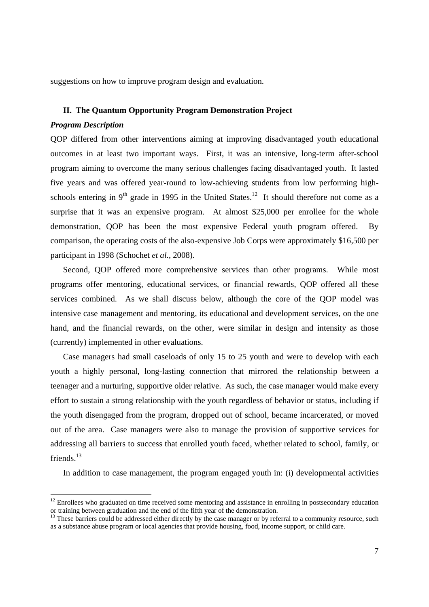suggestions on how to improve program design and evaluation.

## **II. The Quantum Opportunity Program Demonstration Project**

#### *Program Description*

-

QOP differed from other interventions aiming at improving disadvantaged youth educational outcomes in at least two important ways. First, it was an intensive, long-term after-school program aiming to overcome the many serious challenges facing disadvantaged youth. It lasted five years and was offered year-round to low-achieving students from low performing highschools entering in  $9<sup>th</sup>$  grade in 1995 in the United States.<sup>12</sup> It should therefore not come as a surprise that it was an expensive program. At almost \$25,000 per enrollee for the whole demonstration, QOP has been the most expensive Federal youth program offered. By comparison, the operating costs of the also-expensive Job Corps were approximately \$16,500 per participant in 1998 (Schochet *et al.*, 2008).

Second, QOP offered more comprehensive services than other programs. While most programs offer mentoring, educational services, or financial rewards, QOP offered all these services combined. As we shall discuss below, although the core of the QOP model was intensive case management and mentoring, its educational and development services, on the one hand, and the financial rewards, on the other, were similar in design and intensity as those (currently) implemented in other evaluations.

Case managers had small caseloads of only 15 to 25 youth and were to develop with each youth a highly personal, long-lasting connection that mirrored the relationship between a teenager and a nurturing, supportive older relative. As such, the case manager would make every effort to sustain a strong relationship with the youth regardless of behavior or status, including if the youth disengaged from the program, dropped out of school, became incarcerated, or moved out of the area. Case managers were also to manage the provision of supportive services for addressing all barriers to success that enrolled youth faced, whether related to school, family, or friends.<sup>13</sup>

In addition to case management, the program engaged youth in: (i) developmental activities

<sup>&</sup>lt;sup>12</sup> Enrollees who graduated on time received some mentoring and assistance in enrolling in postsecondary education or training between graduation and the end of the fifth year of the demonstration.

 $<sup>13</sup>$  These barriers could be addressed either directly by the case manager or by referral to a community resource, such</sup> as a substance abuse program or local agencies that provide housing, food, income support, or child care.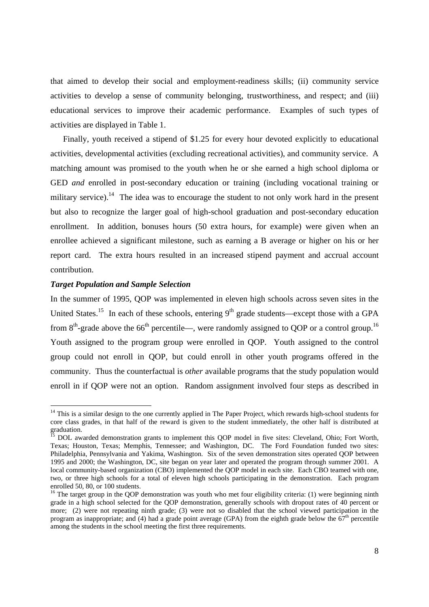that aimed to develop their social and employment-readiness skills; (ii) community service activities to develop a sense of community belonging, trustworthiness, and respect; and (iii) educational services to improve their academic performance. Examples of such types of activities are displayed in Table 1.

Finally, youth received a stipend of \$1.25 for every hour devoted explicitly to educational activities, developmental activities (excluding recreational activities), and community service. A matching amount was promised to the youth when he or she earned a high school diploma or GED *and* enrolled in post-secondary education or training (including vocational training or military service).<sup>14</sup> The idea was to encourage the student to not only work hard in the present but also to recognize the larger goal of high-school graduation and post-secondary education enrollment. In addition, bonuses hours (50 extra hours, for example) were given when an enrollee achieved a significant milestone, such as earning a B average or higher on his or her report card. The extra hours resulted in an increased stipend payment and accrual account contribution.

## *Target Population and Sample Selection*

-

In the summer of 1995, QOP was implemented in eleven high schools across seven sites in the United States.<sup>15</sup> In each of these schools, entering  $9<sup>th</sup>$  grade students—except those with a GPA from  $8<sup>th</sup>$ -grade above the 66<sup>th</sup> percentile—, were randomly assigned to OOP or a control group.<sup>16</sup> Youth assigned to the program group were enrolled in QOP. Youth assigned to the control group could not enroll in QOP, but could enroll in other youth programs offered in the community. Thus the counterfactual is *other* available programs that the study population would enroll in if QOP were not an option. Random assignment involved four steps as described in

<sup>&</sup>lt;sup>14</sup> This is a similar design to the one currently applied in The Paper Project, which rewards high-school students for core class grades, in that half of the reward is given to the student immediately, the other half is distributed at graduation.

 $15$  DOL awarded demonstration grants to implement this QOP model in five sites: Cleveland, Ohio; Fort Worth, Texas; Houston, Texas; Memphis, Tennessee; and Washington, DC. The Ford Foundation funded two sites: Philadelphia, Pennsylvania and Yakima, Washington. Six of the seven demonstration sites operated QOP between 1995 and 2000; the Washington, DC, site began on year later and operated the program through summer 2001. A local community-based organization (CBO) implemented the QOP model in each site. Each CBO teamed with one, two, or three high schools for a total of eleven high schools participating in the demonstration. Each program enrolled 50, 80, or 100 students.

 $16$  The target group in the OOP demonstration was youth who met four eligibility criteria: (1) were beginning ninth grade in a high school selected for the QOP demonstration, generally schools with dropout rates of 40 percent or more; (2) were not repeating ninth grade; (3) were not so disabled that the school viewed participation in the program as inappropriate; and (4) had a grade point average (GPA) from the eighth grade below the  $67<sup>th</sup>$  percentile among the students in the school meeting the first three requirements.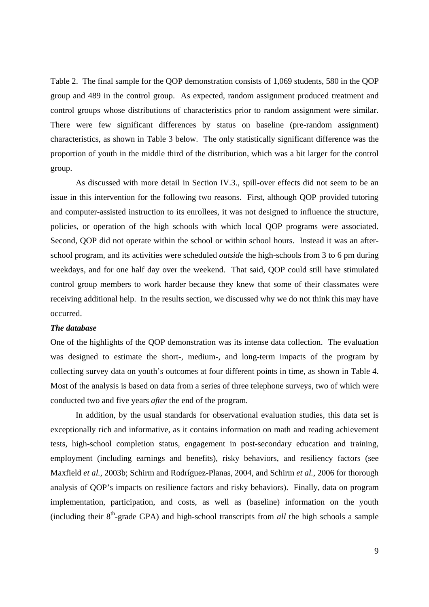Table 2. The final sample for the QOP demonstration consists of 1,069 students, 580 in the QOP group and 489 in the control group. As expected, random assignment produced treatment and control groups whose distributions of characteristics prior to random assignment were similar. There were few significant differences by status on baseline (pre-random assignment) characteristics, as shown in Table 3 below. The only statistically significant difference was the proportion of youth in the middle third of the distribution, which was a bit larger for the control group.

 As discussed with more detail in Section IV.3., spill-over effects did not seem to be an issue in this intervention for the following two reasons. First, although QOP provided tutoring and computer-assisted instruction to its enrollees, it was not designed to influence the structure, policies, or operation of the high schools with which local QOP programs were associated. Second, QOP did not operate within the school or within school hours. Instead it was an afterschool program, and its activities were scheduled *outside* the high-schools from 3 to 6 pm during weekdays, and for one half day over the weekend. That said, QOP could still have stimulated control group members to work harder because they knew that some of their classmates were receiving additional help. In the results section, we discussed why we do not think this may have occurred.

## *The database*

One of the highlights of the QOP demonstration was its intense data collection. The evaluation was designed to estimate the short-, medium-, and long-term impacts of the program by collecting survey data on youth's outcomes at four different points in time, as shown in Table 4. Most of the analysis is based on data from a series of three telephone surveys, two of which were conducted two and five years *after* the end of the program.

In addition, by the usual standards for observational evaluation studies, this data set is exceptionally rich and informative, as it contains information on math and reading achievement tests, high-school completion status, engagement in post-secondary education and training, employment (including earnings and benefits), risky behaviors, and resiliency factors (see Maxfield *et al.*, 2003b; Schirm and Rodríguez-Planas, 2004, and Schirm *et al.*, 2006 for thorough analysis of QOP's impacts on resilience factors and risky behaviors). Finally, data on program implementation, participation, and costs, as well as (baseline) information on the youth (including their  $8<sup>th</sup>$ -grade GPA) and high-school transcripts from *all* the high schools a sample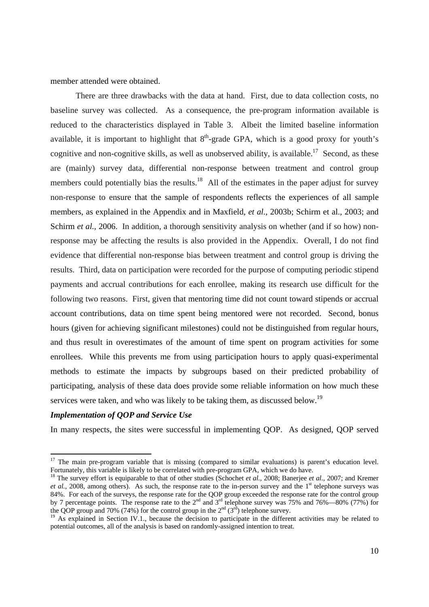member attended were obtained.

There are three drawbacks with the data at hand. First, due to data collection costs, no baseline survey was collected. As a consequence, the pre-program information available is reduced to the characteristics displayed in Table 3. Albeit the limited baseline information available, it is important to highlight that  $8<sup>th</sup>$ -grade GPA, which is a good proxy for youth's cognitive and non-cognitive skills, as well as unobserved ability, is available.<sup>17</sup> Second, as these are (mainly) survey data, differential non-response between treatment and control group members could potentially bias the results.<sup>18</sup> All of the estimates in the paper adjust for survey non-response to ensure that the sample of respondents reflects the experiences of all sample members, as explained in the Appendix and in Maxfield, *et al.*, 2003b; Schirm et al., 2003; and Schirm *et al.*, 2006. In addition, a thorough sensitivity analysis on whether (and if so how) nonresponse may be affecting the results is also provided in the Appendix. Overall, I do not find evidence that differential non-response bias between treatment and control group is driving the results. Third, data on participation were recorded for the purpose of computing periodic stipend payments and accrual contributions for each enrollee, making its research use difficult for the following two reasons. First, given that mentoring time did not count toward stipends or accrual account contributions, data on time spent being mentored were not recorded. Second, bonus hours (given for achieving significant milestones) could not be distinguished from regular hours, and thus result in overestimates of the amount of time spent on program activities for some enrollees. While this prevents me from using participation hours to apply quasi-experimental methods to estimate the impacts by subgroups based on their predicted probability of participating, analysis of these data does provide some reliable information on how much these services were taken, and who was likely to be taking them, as discussed below.<sup>19</sup>

## *Implementation of QOP and Service Use*

-

In many respects, the sites were successful in implementing QOP. As designed, QOP served

<sup>&</sup>lt;sup>17</sup> The main pre-program variable that is missing (compared to similar evaluations) is parent's education level. Fortunately, this variable is likely to be correlated with pre-program GPA, which we do have.

<sup>&</sup>lt;sup>18</sup> The survey effort is equiparable to that of other studies (Schochet *et al.*, 2008; Banerjee *et al.*, 2007; and Kremer *et al.*, 2008, among others). As such, the response rate to the in-person survey and the 1<sup>st</sup> telephone surveys was 84%. For each of the surveys, the response rate for the QOP group exceeded the response rate for the control group by 7 percentage points. The response rate to the  $2^{nd}$  and  $3^{rd}$  telephone survey was 75% and 76%—80% (77%) for the QOP group and 70% (74%) for the control group in the  $2<sup>nd</sup>$  (3<sup>rd</sup>) telephone survey.<br><sup>19</sup> As explained in Section IV.1., because the decision to participate in the different activities may be related to

potential outcomes, all of the analysis is based on randomly-assigned intention to treat.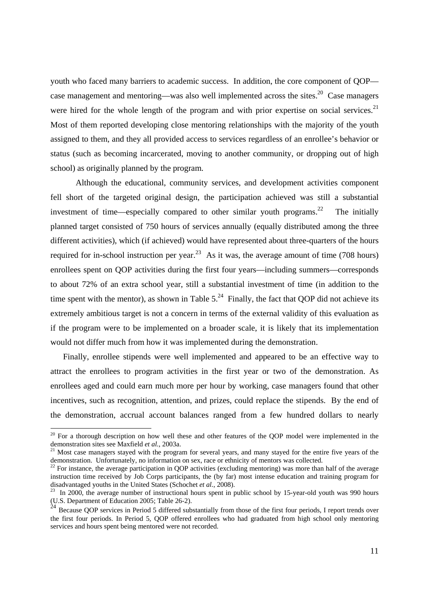youth who faced many barriers to academic success. In addition, the core component of QOP case management and mentoring—was also well implemented across the sites.<sup>20</sup> Case managers were hired for the whole length of the program and with prior expertise on social services.<sup>21</sup> Most of them reported developing close mentoring relationships with the majority of the youth assigned to them, and they all provided access to services regardless of an enrollee's behavior or status (such as becoming incarcerated, moving to another community, or dropping out of high school) as originally planned by the program.

Although the educational, community services, and development activities component fell short of the targeted original design, the participation achieved was still a substantial investment of time—especially compared to other similar youth programs.<sup>22</sup> The initially planned target consisted of 750 hours of services annually (equally distributed among the three different activities), which (if achieved) would have represented about three-quarters of the hours required for in-school instruction per year.<sup>23</sup> As it was, the average amount of time (708 hours) enrollees spent on QOP activities during the first four years—including summers—corresponds to about 72% of an extra school year, still a substantial investment of time (in addition to the time spent with the mentor), as shown in Table  $5.^{24}$  Finally, the fact that OOP did not achieve its extremely ambitious target is not a concern in terms of the external validity of this evaluation as if the program were to be implemented on a broader scale, it is likely that its implementation would not differ much from how it was implemented during the demonstration.

Finally, enrollee stipends were well implemented and appeared to be an effective way to attract the enrollees to program activities in the first year or two of the demonstration. As enrollees aged and could earn much more per hour by working, case managers found that other incentives, such as recognition, attention, and prizes, could replace the stipends. By the end of the demonstration, accrual account balances ranged from a few hundred dollars to nearly

1

 $20$  For a thorough description on how well these and other features of the QOP model were implemented in the demonstration sites see Maxfield *et al.*, 2003a.<br><sup>21</sup> Most case managers stayed with the program for several years, and many stayed for the entire five years of the

demonstration. Unfortunately, no information on sex, race or ethnicity of mentors was collected.

 $22$  For instance, the average participation in QOP activities (excluding mentoring) was more than half of the average instruction time received by Job Corps participants, the (by far) most intense education and training program for disadvantaged youths in the United States (Schochet *et al.*, 2008).

<sup>&</sup>lt;sup>23</sup> In 2000, the average number of instructional hours spent in public school by 15-year-old youth was 990 hours (U.S. Department of Education 2005; Table 26-2).

 $24$  Because OOP services in Period 5 differed substantially from those of the first four periods, I report trends over the first four periods. In Period 5, QOP offered enrollees who had graduated from high school only mentoring services and hours spent being mentored were not recorded.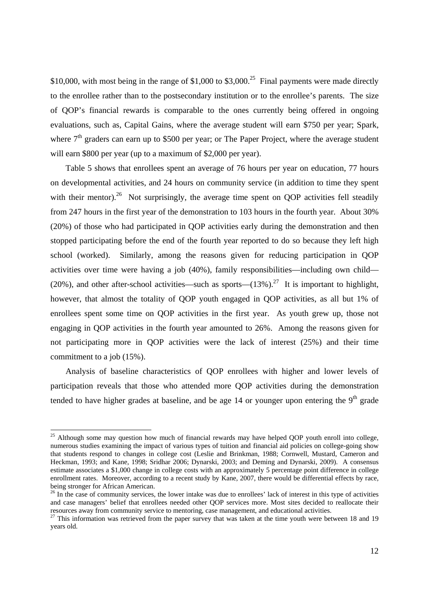\$10,000, with most being in the range of \$1,000 to \$3,000.<sup>25</sup> Final payments were made directly to the enrollee rather than to the postsecondary institution or to the enrollee's parents. The size of QOP's financial rewards is comparable to the ones currently being offered in ongoing evaluations, such as, Capital Gains, where the average student will earn \$750 per year; Spark, where  $7<sup>th</sup>$  graders can earn up to \$500 per year; or The Paper Project, where the average student will earn \$800 per year (up to a maximum of \$2,000 per year).

 Table 5 shows that enrollees spent an average of 76 hours per year on education, 77 hours on developmental activities, and 24 hours on community service (in addition to time they spent with their mentor).<sup>26</sup> Not surprisingly, the average time spent on QOP activities fell steadily from 247 hours in the first year of the demonstration to 103 hours in the fourth year. About 30% (20%) of those who had participated in QOP activities early during the demonstration and then stopped participating before the end of the fourth year reported to do so because they left high school (worked). Similarly, among the reasons given for reducing participation in QOP activities over time were having a job (40%), family responsibilities—including own child— (20%), and other after-school activities—such as sports— $(13\%)$ .<sup>27</sup> It is important to highlight, however, that almost the totality of QOP youth engaged in QOP activities, as all but 1% of enrollees spent some time on QOP activities in the first year. As youth grew up, those not engaging in QOP activities in the fourth year amounted to 26%. Among the reasons given for not participating more in QOP activities were the lack of interest (25%) and their time commitment to a job (15%).

Analysis of baseline characteristics of QOP enrollees with higher and lower levels of participation reveals that those who attended more QOP activities during the demonstration tended to have higher grades at baseline, and be age 14 or younger upon entering the  $9<sup>th</sup>$  grade

 $\overline{a}$ 

 $25$  Although some may question how much of financial rewards may have helped QOP youth enroll into college, numerous studies examining the impact of various types of tuition and financial aid policies on college-going show that students respond to changes in college cost (Leslie and Brinkman, 1988; Cornwell, Mustard, Cameron and Heckman, 1993; and Kane, 1998; Sridhar 2006; Dynarski, 2003; and Deming and Dynarski, 2009). A consensus estimate associates a \$1,000 change in college costs with an approximately 5 percentage point difference in college enrollment rates. Moreover, according to a recent study by Kane, 2007, there would be differential effects by race, being stronger for African American.

 $26$  In the case of community services, the lower intake was due to enrollees' lack of interest in this type of activities and case managers' belief that enrollees needed other QOP services more. Most sites decided to reallocate their resources away from community service to mentoring, case management, and educational activities.

 $27$  This information was retrieved from the paper survey that was taken at the time youth were between 18 and 19 years old.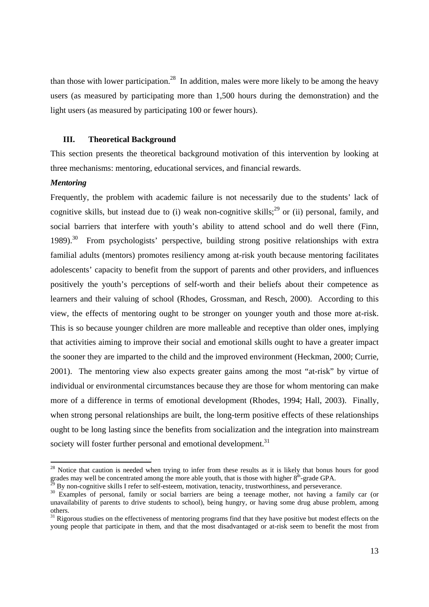than those with lower participation.<sup>28</sup> In addition, males were more likely to be among the heavy users (as measured by participating more than 1,500 hours during the demonstration) and the light users (as measured by participating 100 or fewer hours).

## **III. Theoretical Background**

 This section presents the theoretical background motivation of this intervention by looking at three mechanisms: mentoring, educational services, and financial rewards.

#### *Mentoring*

-

Frequently, the problem with academic failure is not necessarily due to the students' lack of cognitive skills, but instead due to (i) weak non-cognitive skills;<sup>29</sup> or (ii) personal, family, and social barriers that interfere with youth's ability to attend school and do well there (Finn, 1989).<sup>30</sup> From psychologists' perspective, building strong positive relationships with extra familial adults (mentors) promotes resiliency among at-risk youth because mentoring facilitates adolescents' capacity to benefit from the support of parents and other providers, and influences positively the youth's perceptions of self-worth and their beliefs about their competence as learners and their valuing of school (Rhodes, Grossman, and Resch, 2000). According to this view, the effects of mentoring ought to be stronger on younger youth and those more at-risk. This is so because younger children are more malleable and receptive than older ones, implying that activities aiming to improve their social and emotional skills ought to have a greater impact the sooner they are imparted to the child and the improved environment (Heckman, 2000; Currie, 2001). The mentoring view also expects greater gains among the most "at-risk" by virtue of individual or environmental circumstances because they are those for whom mentoring can make more of a difference in terms of emotional development (Rhodes, 1994; Hall, 2003). Finally, when strong personal relationships are built, the long-term positive effects of these relationships ought to be long lasting since the benefits from socialization and the integration into mainstream society will foster further personal and emotional development.<sup>31</sup>

<sup>&</sup>lt;sup>28</sup> Notice that caution is needed when trying to infer from these results as it is likely that bonus hours for good grades may well be concentrated among the more able youth, that is those with higher  $8<sup>th</sup>$ -grade GPA. <sup>29</sup> By non-cognitive skills I refer to self-esteem, motivation, tenacity, trustworthiness, and perseverance.

<sup>&</sup>lt;sup>30</sup> Examples of personal, family or social barriers are being a teenage mother, not having a family car (or unavailability of parents to drive students to school), being hungry, or having some drug abuse problem, among others.

 $31$  Rigorous studies on the effectiveness of mentoring programs find that they have positive but modest effects on the young people that participate in them, and that the most disadvantaged or at-risk seem to benefit the most from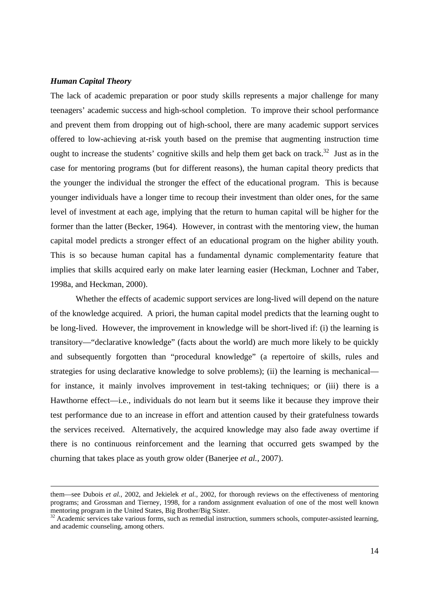## *Human Capital Theory*

The lack of academic preparation or poor study skills represents a major challenge for many teenagers' academic success and high-school completion. To improve their school performance and prevent them from dropping out of high-school, there are many academic support services offered to low-achieving at-risk youth based on the premise that augmenting instruction time ought to increase the students' cognitive skills and help them get back on track.<sup>32</sup> Just as in the case for mentoring programs (but for different reasons), the human capital theory predicts that the younger the individual the stronger the effect of the educational program. This is because younger individuals have a longer time to recoup their investment than older ones, for the same level of investment at each age, implying that the return to human capital will be higher for the former than the latter (Becker, 1964). However, in contrast with the mentoring view, the human capital model predicts a stronger effect of an educational program on the higher ability youth. This is so because human capital has a fundamental dynamic complementarity feature that implies that skills acquired early on make later learning easier (Heckman, Lochner and Taber, 1998a, and Heckman, 2000).

Whether the effects of academic support services are long-lived will depend on the nature of the knowledge acquired. A priori, the human capital model predicts that the learning ought to be long-lived. However, the improvement in knowledge will be short-lived if: (i) the learning is transitory—"declarative knowledge" (facts about the world) are much more likely to be quickly and subsequently forgotten than "procedural knowledge" (a repertoire of skills, rules and strategies for using declarative knowledge to solve problems); (ii) the learning is mechanical for instance, it mainly involves improvement in test-taking techniques; or (iii) there is a Hawthorne effect—i.e., individuals do not learn but it seems like it because they improve their test performance due to an increase in effort and attention caused by their gratefulness towards the services received. Alternatively, the acquired knowledge may also fade away overtime if there is no continuous reinforcement and the learning that occurred gets swamped by the churning that takes place as youth grow older (Banerjee *et al.*, 2007).

them—see Dubois *et al.*, 2002, and Jekielek *et al.*, 2002, for thorough reviews on the effectiveness of mentoring programs; and Grossman and Tierney, 1998, for a random assignment evaluation of one of the most well known mentoring program in the United States, Big Brother/Big Sister.

<sup>&</sup>lt;sup>32</sup> Academic services take various forms, such as remedial instruction, summers schools, computer-assisted learning, and academic counseling, among others.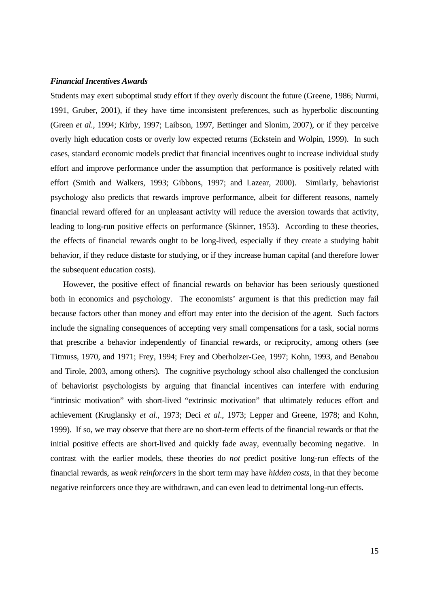#### *Financial Incentives Awards*

Students may exert suboptimal study effort if they overly discount the future (Greene, 1986; Nurmi, 1991, Gruber, 2001), if they have time inconsistent preferences, such as hyperbolic discounting (Green *et al.*, 1994; Kirby, 1997; Laibson, 1997, Bettinger and Slonim, 2007), or if they perceive overly high education costs or overly low expected returns (Eckstein and Wolpin, 1999). In such cases, standard economic models predict that financial incentives ought to increase individual study effort and improve performance under the assumption that performance is positively related with effort (Smith and Walkers, 1993; Gibbons, 1997; and Lazear, 2000). Similarly, behaviorist psychology also predicts that rewards improve performance, albeit for different reasons, namely financial reward offered for an unpleasant activity will reduce the aversion towards that activity, leading to long-run positive effects on performance (Skinner, 1953). According to these theories, the effects of financial rewards ought to be long-lived, especially if they create a studying habit behavior, if they reduce distaste for studying, or if they increase human capital (and therefore lower the subsequent education costs).

 However, the positive effect of financial rewards on behavior has been seriously questioned both in economics and psychology. The economists' argument is that this prediction may fail because factors other than money and effort may enter into the decision of the agent. Such factors include the signaling consequences of accepting very small compensations for a task, social norms that prescribe a behavior independently of financial rewards, or reciprocity, among others (see Titmuss, 1970, and 1971; Frey, 1994; Frey and Oberholzer-Gee, 1997; Kohn, 1993, and Benabou and Tirole, 2003, among others). The cognitive psychology school also challenged the conclusion of behaviorist psychologists by arguing that financial incentives can interfere with enduring "intrinsic motivation" with short-lived "extrinsic motivation" that ultimately reduces effort and achievement (Kruglansky *et al.*, 1973; Deci *et al*., 1973; Lepper and Greene, 1978; and Kohn, 1999). If so, we may observe that there are no short-term effects of the financial rewards or that the initial positive effects are short-lived and quickly fade away, eventually becoming negative. In contrast with the earlier models, these theories do *not* predict positive long-run effects of the financial rewards, as *weak reinforcers* in the short term may have *hidden costs*, in that they become negative reinforcers once they are withdrawn, and can even lead to detrimental long-run effects.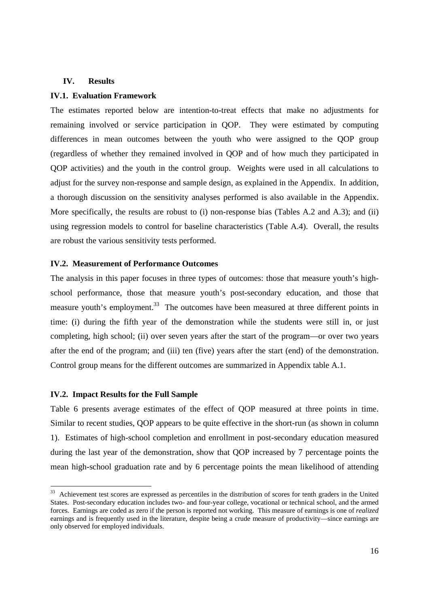### **IV. Results**

## **IV.1. Evaluation Framework**

The estimates reported below are intention-to-treat effects that make no adjustments for remaining involved or service participation in QOP. They were estimated by computing differences in mean outcomes between the youth who were assigned to the QOP group (regardless of whether they remained involved in QOP and of how much they participated in QOP activities) and the youth in the control group. Weights were used in all calculations to adjust for the survey non-response and sample design, as explained in the Appendix. In addition, a thorough discussion on the sensitivity analyses performed is also available in the Appendix. More specifically, the results are robust to (i) non-response bias (Tables A.2 and A.3); and (ii) using regression models to control for baseline characteristics (Table A.4). Overall, the results are robust the various sensitivity tests performed.

## **IV.2. Measurement of Performance Outcomes**

The analysis in this paper focuses in three types of outcomes: those that measure youth's highschool performance, those that measure youth's post-secondary education, and those that measure youth's employment.<sup>33</sup> The outcomes have been measured at three different points in time: (i) during the fifth year of the demonstration while the students were still in, or just completing, high school; (ii) over seven years after the start of the program—or over two years after the end of the program; and (iii) ten (five) years after the start (end) of the demonstration. Control group means for the different outcomes are summarized in Appendix table A.1.

## **IV.2. Impact Results for the Full Sample**

-

Table 6 presents average estimates of the effect of QOP measured at three points in time. Similar to recent studies, QOP appears to be quite effective in the short-run (as shown in column 1). Estimates of high-school completion and enrollment in post-secondary education measured during the last year of the demonstration, show that QOP increased by 7 percentage points the mean high-school graduation rate and by 6 percentage points the mean likelihood of attending

<sup>&</sup>lt;sup>33</sup> Achievement test scores are expressed as percentiles in the distribution of scores for tenth graders in the United States. Post-secondary education includes two- and four-year college, vocational or technical school, and the armed forces. Earnings are coded as zero if the person is reported not working. This measure of earnings is one of *realized* earnings and is frequently used in the literature, despite being a crude measure of productivity—since earnings are only observed for employed individuals.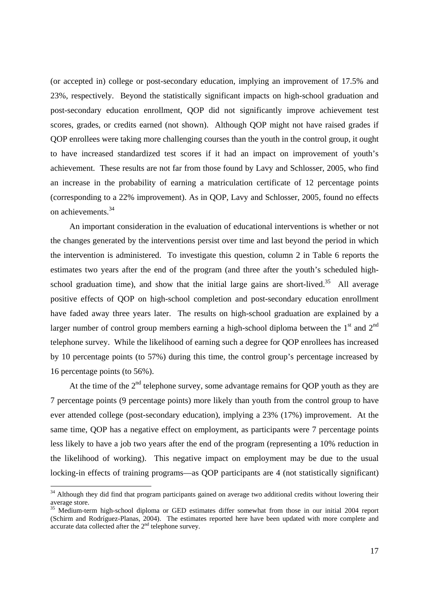(or accepted in) college or post-secondary education, implying an improvement of 17.5% and 23%, respectively. Beyond the statistically significant impacts on high-school graduation and post-secondary education enrollment, QOP did not significantly improve achievement test scores, grades, or credits earned (not shown). Although QOP might not have raised grades if QOP enrollees were taking more challenging courses than the youth in the control group, it ought to have increased standardized test scores if it had an impact on improvement of youth's achievement. These results are not far from those found by Lavy and Schlosser, 2005, who find an increase in the probability of earning a matriculation certificate of 12 percentage points (corresponding to a 22% improvement). As in QOP, Lavy and Schlosser, 2005, found no effects on achievements.34

 An important consideration in the evaluation of educational interventions is whether or not the changes generated by the interventions persist over time and last beyond the period in which the intervention is administered. To investigate this question, column 2 in Table 6 reports the estimates two years after the end of the program (and three after the youth's scheduled highschool graduation time), and show that the initial large gains are short-lived.<sup>35</sup> All average positive effects of QOP on high-school completion and post-secondary education enrollment have faded away three years later. The results on high-school graduation are explained by a larger number of control group members earning a high-school diploma between the  $1<sup>st</sup>$  and  $2<sup>nd</sup>$ telephone survey. While the likelihood of earning such a degree for QOP enrollees has increased by 10 percentage points (to 57%) during this time, the control group's percentage increased by 16 percentage points (to 56%).

At the time of the  $2<sup>nd</sup>$  telephone survey, some advantage remains for OOP youth as they are 7 percentage points (9 percentage points) more likely than youth from the control group to have ever attended college (post-secondary education), implying a 23% (17%) improvement. At the same time, QOP has a negative effect on employment, as participants were 7 percentage points less likely to have a job two years after the end of the program (representing a 10% reduction in the likelihood of working). This negative impact on employment may be due to the usual locking-in effects of training programs—as QOP participants are 4 (not statistically significant)

-

 $34$  Although they did find that program participants gained on average two additional credits without lowering their average store.

<sup>&</sup>lt;sup>35</sup> Medium-term high-school diploma or GED estimates differ somewhat from those in our initial 2004 report (Schirm and Rodríguez-Planas, 2004). The estimates reported here have been updated with more complete and accurate data collected after the  $2<sup>nd</sup>$  telephone survey.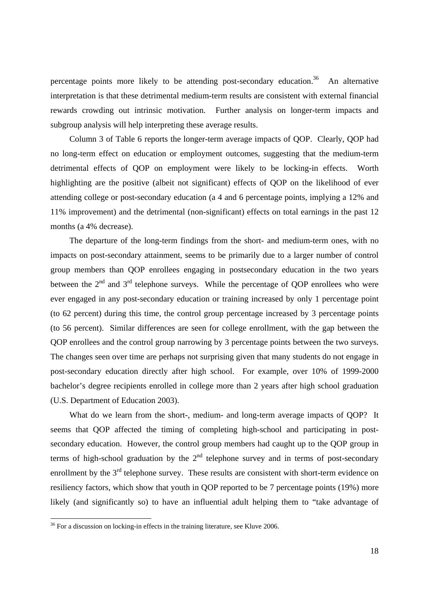percentage points more likely to be attending post-secondary education.<sup>36</sup> An alternative interpretation is that these detrimental medium-term results are consistent with external financial rewards crowding out intrinsic motivation. Further analysis on longer-term impacts and subgroup analysis will help interpreting these average results.

 Column 3 of Table 6 reports the longer-term average impacts of QOP. Clearly, QOP had no long-term effect on education or employment outcomes, suggesting that the medium-term detrimental effects of QOP on employment were likely to be locking-in effects. Worth highlighting are the positive (albeit not significant) effects of QOP on the likelihood of ever attending college or post-secondary education (a 4 and 6 percentage points, implying a 12% and 11% improvement) and the detrimental (non-significant) effects on total earnings in the past 12 months (a 4% decrease).

 The departure of the long-term findings from the short- and medium-term ones, with no impacts on post-secondary attainment, seems to be primarily due to a larger number of control group members than QOP enrollees engaging in postsecondary education in the two years between the  $2<sup>nd</sup>$  and  $3<sup>rd</sup>$  telephone surveys. While the percentage of QOP enrollees who were ever engaged in any post-secondary education or training increased by only 1 percentage point (to 62 percent) during this time, the control group percentage increased by 3 percentage points (to 56 percent). Similar differences are seen for college enrollment, with the gap between the QOP enrollees and the control group narrowing by 3 percentage points between the two surveys. The changes seen over time are perhaps not surprising given that many students do not engage in post-secondary education directly after high school. For example, over 10% of 1999-2000 bachelor's degree recipients enrolled in college more than 2 years after high school graduation (U.S. Department of Education 2003).

What do we learn from the short-, medium- and long-term average impacts of OOP? It seems that QOP affected the timing of completing high-school and participating in postsecondary education. However, the control group members had caught up to the QOP group in terms of high-school graduation by the  $2<sup>nd</sup>$  telephone survey and in terms of post-secondary enrollment by the  $3<sup>rd</sup>$  telephone survey. These results are consistent with short-term evidence on resiliency factors, which show that youth in QOP reported to be 7 percentage points (19%) more likely (and significantly so) to have an influential adult helping them to "take advantage of

1

 $36$  For a discussion on locking-in effects in the training literature, see Kluve 2006.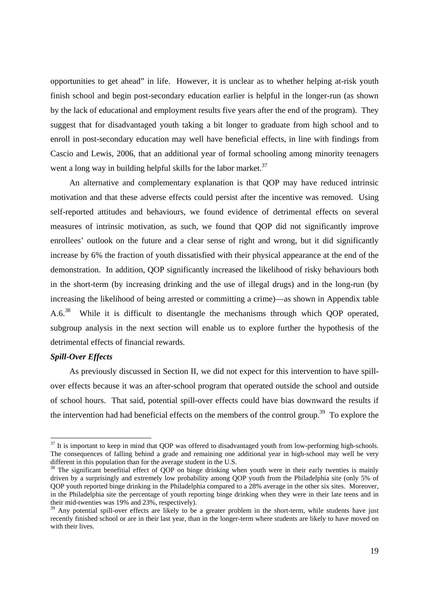opportunities to get ahead" in life. However, it is unclear as to whether helping at-risk youth finish school and begin post-secondary education earlier is helpful in the longer-run (as shown by the lack of educational and employment results five years after the end of the program). They suggest that for disadvantaged youth taking a bit longer to graduate from high school and to enroll in post-secondary education may well have beneficial effects, in line with findings from Cascio and Lewis, 2006, that an additional year of formal schooling among minority teenagers went a long way in building helpful skills for the labor market.<sup>37</sup>

 An alternative and complementary explanation is that QOP may have reduced intrinsic motivation and that these adverse effects could persist after the incentive was removed. Using self-reported attitudes and behaviours, we found evidence of detrimental effects on several measures of intrinsic motivation, as such, we found that QOP did not significantly improve enrollees' outlook on the future and a clear sense of right and wrong, but it did significantly increase by 6% the fraction of youth dissatisfied with their physical appearance at the end of the demonstration. In addition, QOP significantly increased the likelihood of risky behaviours both in the short-term (by increasing drinking and the use of illegal drugs) and in the long-run (by increasing the likelihood of being arrested or committing a crime)—as shown in Appendix table A.6.38 While it is difficult to disentangle the mechanisms through which QOP operated, subgroup analysis in the next section will enable us to explore further the hypothesis of the detrimental effects of financial rewards.

#### *Spill-Over Effects*

-

 As previously discussed in Section II, we did not expect for this intervention to have spillover effects because it was an after-school program that operated outside the school and outside of school hours. That said, potential spill-over effects could have bias downward the results if the intervention had had beneficial effects on the members of the control group.<sup>39</sup> To explore the

 $37$  It is important to keep in mind that QOP was offered to disadvantaged youth from low-performing high-schools. The consequences of falling behind a grade and remaining one additional year in high-school may well be very different in this population than for the average student in the U.S.

<sup>&</sup>lt;sup>38</sup> The significant benefitial effect of QOP on binge drinking when youth were in their early twenties is mainly driven by a surprisingly and extremely low probability among QOP youth from the Philadelphia site (only 5% of QOP youth reported binge drinking in the Philadelphia compared to a 28% average in the other six sites. Moreover, in the Philadelphia site the percentage of youth reporting binge drinking when they were in their late teens and in their mid-twenties was 19% and 23%, respectively).

<sup>&</sup>lt;sup>39</sup> Any potential spill-over effects are likely to be a greater problem in the short-term, while students have just recently finished school or are in their last year, than in the longer-term where students are likely to have moved on with their lives.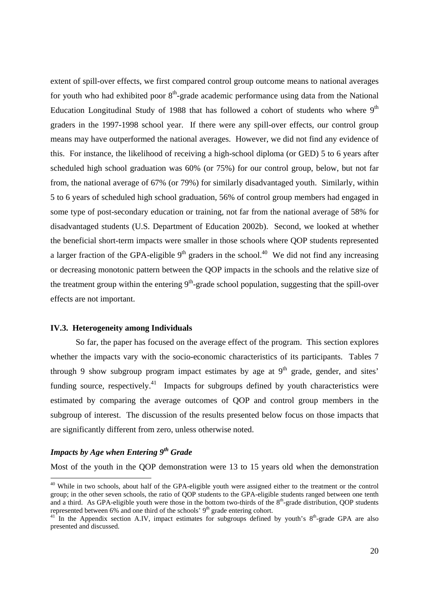extent of spill-over effects, we first compared control group outcome means to national averages for youth who had exhibited poor  $8<sup>th</sup>$ -grade academic performance using data from the National Education Longitudinal Study of 1988 that has followed a cohort of students who where  $9<sup>th</sup>$ graders in the 1997-1998 school year. If there were any spill-over effects, our control group means may have outperformed the national averages. However, we did not find any evidence of this. For instance, the likelihood of receiving a high-school diploma (or GED) 5 to 6 years after scheduled high school graduation was 60% (or 75%) for our control group, below, but not far from, the national average of 67% (or 79%) for similarly disadvantaged youth. Similarly, within 5 to 6 years of scheduled high school graduation, 56% of control group members had engaged in some type of post-secondary education or training, not far from the national average of 58% for disadvantaged students (U.S. Department of Education 2002b). Second, we looked at whether the beneficial short-term impacts were smaller in those schools where QOP students represented a larger fraction of the GPA-eligible  $9<sup>th</sup>$  graders in the school.<sup>40</sup> We did not find any increasing or decreasing monotonic pattern between the QOP impacts in the schools and the relative size of the treatment group within the entering  $9<sup>th</sup>$ -grade school population, suggesting that the spill-over effects are not important.

#### **IV.3. Heterogeneity among Individuals**

 So far, the paper has focused on the average effect of the program. This section explores whether the impacts vary with the socio-economic characteristics of its participants. Tables 7 through 9 show subgroup program impact estimates by age at  $9<sup>th</sup>$  grade, gender, and sites' funding source, respectively.<sup>41</sup> Impacts for subgroups defined by youth characteristics were estimated by comparing the average outcomes of QOP and control group members in the subgroup of interest. The discussion of the results presented below focus on those impacts that are significantly different from zero, unless otherwise noted.

## *Impacts by Age when Entering 9th Grade*

-

Most of the youth in the QOP demonstration were 13 to 15 years old when the demonstration

<sup>&</sup>lt;sup>40</sup> While in two schools, about half of the GPA-eligible youth were assigned either to the treatment or the control group; in the other seven schools, the ratio of QOP students to the GPA-eligible students ranged between one tenth and a third. As GPA-eligible youth were those in the bottom two-thirds of the  $8<sup>th</sup>$ -grade distribution, QOP students represented between 6% and one third of the schools'  $9<sup>th</sup>$  grade entering cohort.

<sup>&</sup>lt;sup>41</sup> In the Appendix section A.IV, impact estimates for subgroups defined by youth's  $8<sup>th</sup>$ -grade GPA are also presented and discussed.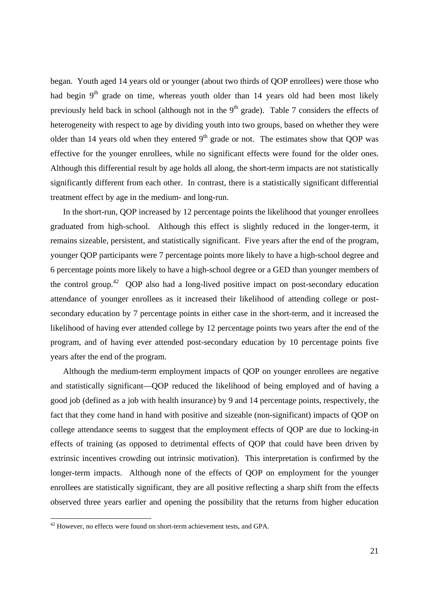began. Youth aged 14 years old or younger (about two thirds of QOP enrollees) were those who had begin 9<sup>th</sup> grade on time, whereas youth older than 14 years old had been most likely previously held back in school (although not in the  $9<sup>th</sup>$  grade). Table 7 considers the effects of heterogeneity with respect to age by dividing youth into two groups, based on whether they were older than 14 years old when they entered  $9<sup>th</sup>$  grade or not. The estimates show that QOP was effective for the younger enrollees, while no significant effects were found for the older ones. Although this differential result by age holds all along, the short-term impacts are not statistically significantly different from each other. In contrast, there is a statistically significant differential treatment effect by age in the medium- and long-run.

 In the short-run, QOP increased by 12 percentage points the likelihood that younger enrollees graduated from high-school. Although this effect is slightly reduced in the longer-term, it remains sizeable, persistent, and statistically significant. Five years after the end of the program, younger QOP participants were 7 percentage points more likely to have a high-school degree and 6 percentage points more likely to have a high-school degree or a GED than younger members of the control group.<sup>42</sup> QOP also had a long-lived positive impact on post-secondary education attendance of younger enrollees as it increased their likelihood of attending college or postsecondary education by 7 percentage points in either case in the short-term, and it increased the likelihood of having ever attended college by 12 percentage points two years after the end of the program, and of having ever attended post-secondary education by 10 percentage points five years after the end of the program.

 Although the medium-term employment impacts of QOP on younger enrollees are negative and statistically significant—QOP reduced the likelihood of being employed and of having a good job (defined as a job with health insurance) by 9 and 14 percentage points, respectively, the fact that they come hand in hand with positive and sizeable (non-significant) impacts of QOP on college attendance seems to suggest that the employment effects of QOP are due to locking-in effects of training (as opposed to detrimental effects of QOP that could have been driven by extrinsic incentives crowding out intrinsic motivation). This interpretation is confirmed by the longer-term impacts. Although none of the effects of QOP on employment for the younger enrollees are statistically significant, they are all positive reflecting a sharp shift from the effects observed three years earlier and opening the possibility that the returns from higher education

1

 $42$  However, no effects were found on short-term achievement tests, and GPA.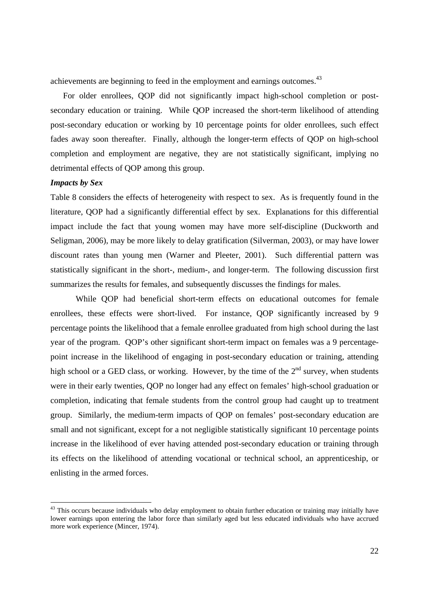achievements are beginning to feed in the employment and earnings outcomes.<sup>43</sup>

 For older enrollees, QOP did not significantly impact high-school completion or postsecondary education or training. While QOP increased the short-term likelihood of attending post-secondary education or working by 10 percentage points for older enrollees, such effect fades away soon thereafter. Finally, although the longer-term effects of QOP on high-school completion and employment are negative, they are not statistically significant, implying no detrimental effects of QOP among this group.

## *Impacts by Sex*

-

Table 8 considers the effects of heterogeneity with respect to sex. As is frequently found in the literature, QOP had a significantly differential effect by sex. Explanations for this differential impact include the fact that young women may have more self-discipline (Duckworth and Seligman, 2006), may be more likely to delay gratification (Silverman, 2003), or may have lower discount rates than young men (Warner and Pleeter, 2001). Such differential pattern was statistically significant in the short-, medium-, and longer-term. The following discussion first summarizes the results for females, and subsequently discusses the findings for males.

While QOP had beneficial short-term effects on educational outcomes for female enrollees, these effects were short-lived. For instance, QOP significantly increased by 9 percentage points the likelihood that a female enrollee graduated from high school during the last year of the program. QOP's other significant short-term impact on females was a 9 percentagepoint increase in the likelihood of engaging in post-secondary education or training, attending high school or a GED class, or working. However, by the time of the  $2<sup>nd</sup>$  survey, when students were in their early twenties, QOP no longer had any effect on females' high-school graduation or completion, indicating that female students from the control group had caught up to treatment group. Similarly, the medium-term impacts of QOP on females' post-secondary education are small and not significant, except for a not negligible statistically significant 10 percentage points increase in the likelihood of ever having attended post-secondary education or training through its effects on the likelihood of attending vocational or technical school, an apprenticeship, or enlisting in the armed forces.

 $43$  This occurs because individuals who delay employment to obtain further education or training may initially have lower earnings upon entering the labor force than similarly aged but less educated individuals who have accrued more work experience (Mincer, 1974).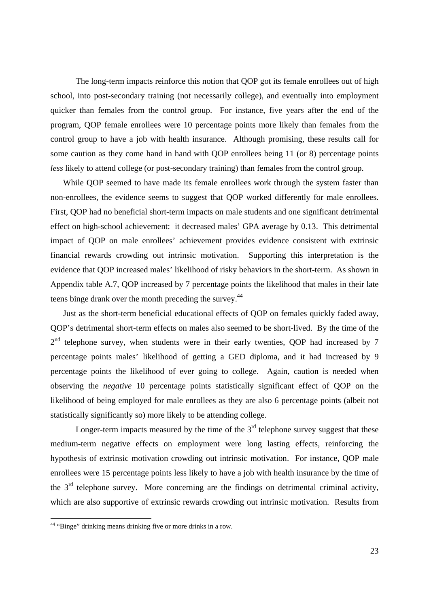The long-term impacts reinforce this notion that QOP got its female enrollees out of high school, into post-secondary training (not necessarily college), and eventually into employment quicker than females from the control group. For instance, five years after the end of the program, QOP female enrollees were 10 percentage points more likely than females from the control group to have a job with health insurance. Although promising, these results call for some caution as they come hand in hand with QOP enrollees being 11 (or 8) percentage points *less* likely to attend college (or post-secondary training) than females from the control group.

 While QOP seemed to have made its female enrollees work through the system faster than non-enrollees, the evidence seems to suggest that QOP worked differently for male enrollees. First, QOP had no beneficial short-term impacts on male students and one significant detrimental effect on high-school achievement: it decreased males' GPA average by 0.13. This detrimental impact of QOP on male enrollees' achievement provides evidence consistent with extrinsic financial rewards crowding out intrinsic motivation. Supporting this interpretation is the evidence that QOP increased males' likelihood of risky behaviors in the short-term. As shown in Appendix table A.7, QOP increased by 7 percentage points the likelihood that males in their late teens binge drank over the month preceding the survey.<sup>44</sup>

 Just as the short-term beneficial educational effects of QOP on females quickly faded away, QOP's detrimental short-term effects on males also seemed to be short-lived. By the time of the  $2<sup>nd</sup>$  telephone survey, when students were in their early twenties, QOP had increased by 7 percentage points males' likelihood of getting a GED diploma, and it had increased by 9 percentage points the likelihood of ever going to college. Again, caution is needed when observing the *negative* 10 percentage points statistically significant effect of QOP on the likelihood of being employed for male enrollees as they are also 6 percentage points (albeit not statistically significantly so) more likely to be attending college.

Longer-term impacts measured by the time of the  $3<sup>rd</sup>$  telephone survey suggest that these medium-term negative effects on employment were long lasting effects, reinforcing the hypothesis of extrinsic motivation crowding out intrinsic motivation. For instance, QOP male enrollees were 15 percentage points less likely to have a job with health insurance by the time of the  $3<sup>rd</sup>$  telephone survey. More concerning are the findings on detrimental criminal activity, which are also supportive of extrinsic rewards crowding out intrinsic motivation. Results from

1

<sup>&</sup>lt;sup>44</sup> "Binge" drinking means drinking five or more drinks in a row.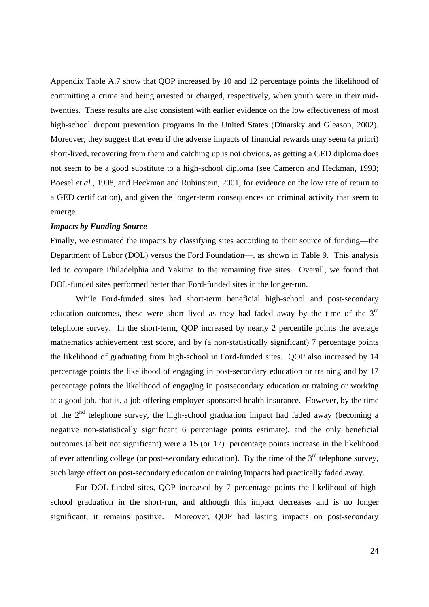Appendix Table A.7 show that QOP increased by 10 and 12 percentage points the likelihood of committing a crime and being arrested or charged, respectively, when youth were in their midtwenties. These results are also consistent with earlier evidence on the low effectiveness of most high-school dropout prevention programs in the United States (Dinarsky and Gleason, 2002). Moreover, they suggest that even if the adverse impacts of financial rewards may seem (a priori) short-lived, recovering from them and catching up is not obvious, as getting a GED diploma does not seem to be a good substitute to a high-school diploma (see Cameron and Heckman, 1993; Boesel *et al.*, 1998, and Heckman and Rubinstein, 2001, for evidence on the low rate of return to a GED certification), and given the longer-term consequences on criminal activity that seem to emerge.

## *Impacts by Funding Source*

Finally, we estimated the impacts by classifying sites according to their source of funding—the Department of Labor (DOL) versus the Ford Foundation—, as shown in Table 9. This analysis led to compare Philadelphia and Yakima to the remaining five sites. Overall, we found that DOL-funded sites performed better than Ford-funded sites in the longer-run.

While Ford-funded sites had short-term beneficial high-school and post-secondary education outcomes, these were short lived as they had faded away by the time of the  $3<sup>rd</sup>$ telephone survey. In the short-term, QOP increased by nearly 2 percentile points the average mathematics achievement test score, and by (a non-statistically significant) 7 percentage points the likelihood of graduating from high-school in Ford-funded sites. QOP also increased by 14 percentage points the likelihood of engaging in post-secondary education or training and by 17 percentage points the likelihood of engaging in postsecondary education or training or working at a good job, that is, a job offering employer-sponsored health insurance. However, by the time of the  $2<sup>nd</sup>$  telephone survey, the high-school graduation impact had faded away (becoming a negative non-statistically significant 6 percentage points estimate), and the only beneficial outcomes (albeit not significant) were a 15 (or 17) percentage points increase in the likelihood of ever attending college (or post-secondary education). By the time of the  $3<sup>rd</sup>$  telephone survey, such large effect on post-secondary education or training impacts had practically faded away.

For DOL-funded sites, QOP increased by 7 percentage points the likelihood of highschool graduation in the short-run, and although this impact decreases and is no longer significant, it remains positive. Moreover, QOP had lasting impacts on post-secondary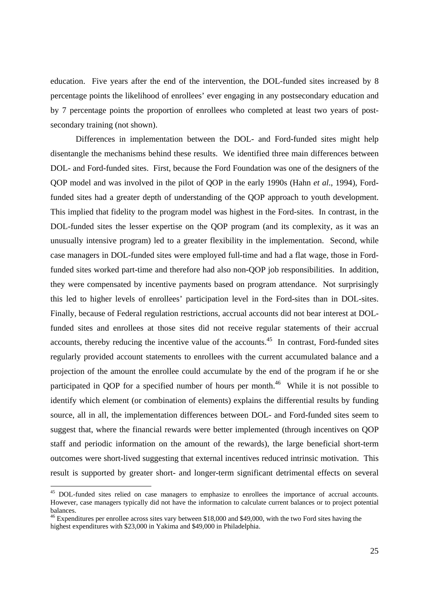education. Five years after the end of the intervention, the DOL-funded sites increased by 8 percentage points the likelihood of enrollees' ever engaging in any postsecondary education and by 7 percentage points the proportion of enrollees who completed at least two years of postsecondary training (not shown).

Differences in implementation between the DOL- and Ford-funded sites might help disentangle the mechanisms behind these results. We identified three main differences between DOL- and Ford-funded sites. First, because the Ford Foundation was one of the designers of the QOP model and was involved in the pilot of QOP in the early 1990s (Hahn *et al*., 1994), Fordfunded sites had a greater depth of understanding of the QOP approach to youth development. This implied that fidelity to the program model was highest in the Ford-sites. In contrast, in the DOL-funded sites the lesser expertise on the QOP program (and its complexity, as it was an unusually intensive program) led to a greater flexibility in the implementation. Second, while case managers in DOL-funded sites were employed full-time and had a flat wage, those in Fordfunded sites worked part-time and therefore had also non-QOP job responsibilities. In addition, they were compensated by incentive payments based on program attendance. Not surprisingly this led to higher levels of enrollees' participation level in the Ford-sites than in DOL-sites. Finally, because of Federal regulation restrictions, accrual accounts did not bear interest at DOLfunded sites and enrollees at those sites did not receive regular statements of their accrual accounts, thereby reducing the incentive value of the accounts.<sup>45</sup> In contrast, Ford-funded sites regularly provided account statements to enrollees with the current accumulated balance and a projection of the amount the enrollee could accumulate by the end of the program if he or she participated in OOP for a specified number of hours per month.<sup>46</sup> While it is not possible to identify which element (or combination of elements) explains the differential results by funding source, all in all, the implementation differences between DOL- and Ford-funded sites seem to suggest that, where the financial rewards were better implemented (through incentives on QOP staff and periodic information on the amount of the rewards), the large beneficial short-term outcomes were short-lived suggesting that external incentives reduced intrinsic motivation. This result is supported by greater short- and longer-term significant detrimental effects on several

-

<sup>&</sup>lt;sup>45</sup> DOL-funded sites relied on case managers to emphasize to enrollees the importance of accrual accounts. However, case managers typically did not have the information to calculate current balances or to project potential balances.

<sup>&</sup>lt;sup>46</sup> Expenditures per enrollee across sites vary between \$18,000 and \$49,000, with the two Ford sites having the highest expenditures with \$23,000 in Yakima and \$49,000 in Philadelphia.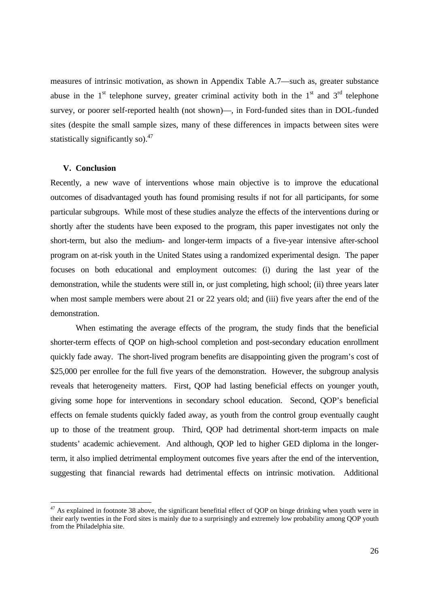measures of intrinsic motivation, as shown in Appendix Table A.7—such as, greater substance abuse in the  $1<sup>st</sup>$  telephone survey, greater criminal activity both in the  $1<sup>st</sup>$  and  $3<sup>rd</sup>$  telephone survey, or poorer self-reported health (not shown)—, in Ford-funded sites than in DOL-funded sites (despite the small sample sizes, many of these differences in impacts between sites were statistically significantly so).<sup>47</sup>

#### **V. Conclusion**

-

Recently, a new wave of interventions whose main objective is to improve the educational outcomes of disadvantaged youth has found promising results if not for all participants, for some particular subgroups. While most of these studies analyze the effects of the interventions during or shortly after the students have been exposed to the program, this paper investigates not only the short-term, but also the medium- and longer-term impacts of a five-year intensive after-school program on at-risk youth in the United States using a randomized experimental design. The paper focuses on both educational and employment outcomes: (i) during the last year of the demonstration, while the students were still in, or just completing, high school; (ii) three years later when most sample members were about 21 or 22 years old; and (iii) five years after the end of the demonstration.

 When estimating the average effects of the program, the study finds that the beneficial shorter-term effects of QOP on high-school completion and post-secondary education enrollment quickly fade away. The short-lived program benefits are disappointing given the program's cost of \$25,000 per enrollee for the full five years of the demonstration. However, the subgroup analysis reveals that heterogeneity matters. First, QOP had lasting beneficial effects on younger youth, giving some hope for interventions in secondary school education. Second, QOP's beneficial effects on female students quickly faded away, as youth from the control group eventually caught up to those of the treatment group. Third, QOP had detrimental short-term impacts on male students' academic achievement. And although, QOP led to higher GED diploma in the longerterm, it also implied detrimental employment outcomes five years after the end of the intervention, suggesting that financial rewards had detrimental effects on intrinsic motivation. Additional

 $47$  As explained in footnote 38 above, the significant benefitial effect of QOP on binge drinking when youth were in their early twenties in the Ford sites is mainly due to a surprisingly and extremely low probability among QOP youth from the Philadelphia site.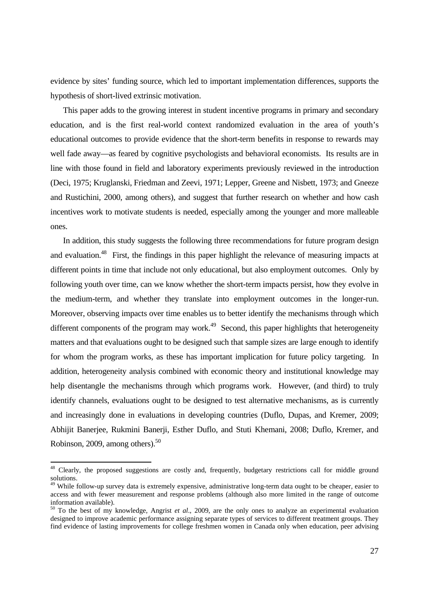evidence by sites' funding source, which led to important implementation differences, supports the hypothesis of short-lived extrinsic motivation.

 This paper adds to the growing interest in student incentive programs in primary and secondary education, and is the first real-world context randomized evaluation in the area of youth's educational outcomes to provide evidence that the short-term benefits in response to rewards may well fade away—as feared by cognitive psychologists and behavioral economists. Its results are in line with those found in field and laboratory experiments previously reviewed in the introduction (Deci, 1975; Kruglanski, Friedman and Zeevi, 1971; Lepper, Greene and Nisbett, 1973; and Gneeze and Rustichini, 2000, among others), and suggest that further research on whether and how cash incentives work to motivate students is needed, especially among the younger and more malleable ones.

 In addition, this study suggests the following three recommendations for future program design and evaluation.<sup>48</sup> First, the findings in this paper highlight the relevance of measuring impacts at different points in time that include not only educational, but also employment outcomes. Only by following youth over time, can we know whether the short-term impacts persist, how they evolve in the medium-term, and whether they translate into employment outcomes in the longer-run. Moreover, observing impacts over time enables us to better identify the mechanisms through which different components of the program may work.<sup>49</sup> Second, this paper highlights that heterogeneity matters and that evaluations ought to be designed such that sample sizes are large enough to identify for whom the program works, as these has important implication for future policy targeting. In addition, heterogeneity analysis combined with economic theory and institutional knowledge may help disentangle the mechanisms through which programs work. However, (and third) to truly identify channels, evaluations ought to be designed to test alternative mechanisms, as is currently and increasingly done in evaluations in developing countries (Duflo, Dupas, and Kremer, 2009; Abhijit Banerjee, Rukmini Banerji, Esther Duflo, and Stuti Khemani, 2008; Duflo, Kremer, and Robinson, 2009, among others).50

-

<sup>&</sup>lt;sup>48</sup> Clearly, the proposed suggestions are costly and, frequently, budgetary restrictions call for middle ground solutions.

<sup>&</sup>lt;sup>49</sup> While follow-up survey data is extremely expensive, administrative long-term data ought to be cheaper, easier to access and with fewer measurement and response problems (although also more limited in the range of outcome information available).

<sup>50</sup> To the best of my knowledge, Angrist *et al*., 2009, are the only ones to analyze an experimental evaluation designed to improve academic performance assigning separate types of services to different treatment groups. They find evidence of lasting improvements for college freshmen women in Canada only when education, peer advising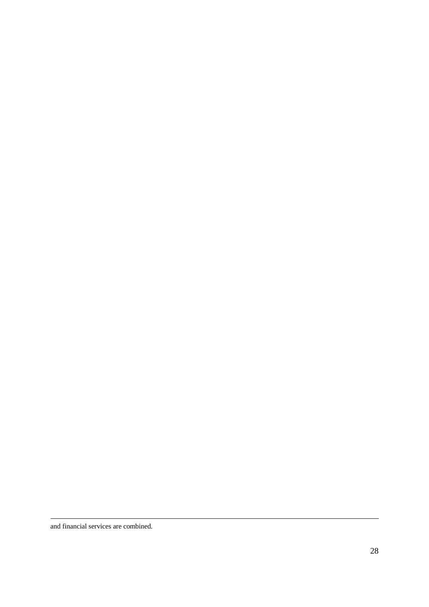and financial services are combined.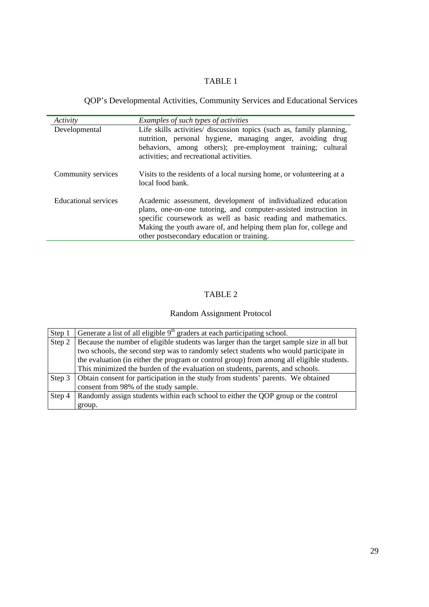QOP's Developmental Activities, Community Services and Educational Services

| Activity             | Examples of such types of activities                                                                                                                                                                                                                                                                                 |
|----------------------|----------------------------------------------------------------------------------------------------------------------------------------------------------------------------------------------------------------------------------------------------------------------------------------------------------------------|
| Developmental        | Life skills activities/ discussion topics (such as, family planning,<br>nutrition, personal hygiene, managing anger, avoiding drug<br>behaviors, among others); pre-employment training; cultural<br>activities; and recreational activities.                                                                        |
| Community services   | Visits to the residents of a local nursing home, or volunteering at a<br>local food bank.                                                                                                                                                                                                                            |
| Educational services | Academic assessment, development of individualized education<br>plans, one-on-one tutoring, and computer-assisted instruction in<br>specific coursework as well as basic reading and mathematics.<br>Making the youth aware of, and helping them plan for, college and<br>other postsecondary education or training. |

## TABLE 2

## Random Assignment Protocol

| Step 1 | Generate a list of all eligible 9 <sup>th</sup> graders at each participating school.     |
|--------|-------------------------------------------------------------------------------------------|
| Step 2 | Because the number of eligible students was larger than the target sample size in all but |
|        | two schools, the second step was to randomly select students who would participate in     |
|        | the evaluation (in either the program or control group) from among all eligible students. |
|        | This minimized the burden of the evaluation on students, parents, and schools.            |
| Step 3 | Obtain consent for participation in the study from students' parents. We obtained         |
|        | consent from 98% of the study sample.                                                     |
| Step 4 | Randomly assign students within each school to either the QOP group or the control        |
|        | group.                                                                                    |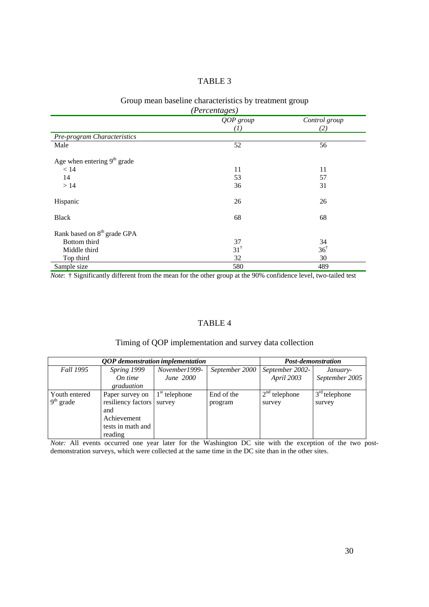## Group mean baseline characteristics by treatment group

| (Percentages)                           |                               |                      |  |  |  |  |
|-----------------------------------------|-------------------------------|----------------------|--|--|--|--|
|                                         | QOP group<br>$\left(1\right)$ | Control group<br>(2) |  |  |  |  |
| Pre-program Characteristics             |                               |                      |  |  |  |  |
| Male                                    | 52                            | 56                   |  |  |  |  |
| Age when entering $9th$ grade           |                               |                      |  |  |  |  |
| < 14                                    | 11                            | 11                   |  |  |  |  |
| 14                                      | 53                            | 57                   |  |  |  |  |
| >14                                     | 36                            | 31                   |  |  |  |  |
| Hispanic                                | 26                            | 26                   |  |  |  |  |
| <b>Black</b>                            | 68                            | 68                   |  |  |  |  |
| Rank based on 8 <sup>th</sup> grade GPA |                               |                      |  |  |  |  |
| Bottom third                            | 37                            | 34                   |  |  |  |  |
| Middle third                            | $31^{\dagger}$                | $36^{\dagger}$       |  |  |  |  |
| Top third                               | 32                            | 30                   |  |  |  |  |
| Sample size                             | 580                           | 489                  |  |  |  |  |

*Note*: † Significantly different from the mean for the other group at the 90% confidence level, two-tailed test

## TABLE 4

## Timing of QOP implementation and survey data collection

| QOP demonstration implementation |                    |                  |                | Post-demonstration |                 |  |
|----------------------------------|--------------------|------------------|----------------|--------------------|-----------------|--|
| Fall 1995                        | Spring 1999        | November1999-    | September 2000 | September 2002-    | January-        |  |
|                                  | On time            | <i>June</i> 2000 |                | April 2003         | September 2005  |  |
|                                  | graduation         |                  |                |                    |                 |  |
| Youth entered                    | Paper survey on    | $1st$ telephone  | End of the     | $2nd$ telephone    | $3rd$ telephone |  |
| $9th$ grade                      | resiliency factors | survey           | program        | survey             | survey          |  |
|                                  | and                |                  |                |                    |                 |  |
|                                  | Achievement        |                  |                |                    |                 |  |
|                                  | tests in math and  |                  |                |                    |                 |  |
|                                  | reading            |                  |                |                    |                 |  |

*Note:* All events occurred one year later for the Washington DC site with the exception of the two postdemonstration surveys, which were collected at the same time in the DC site than in the other sites.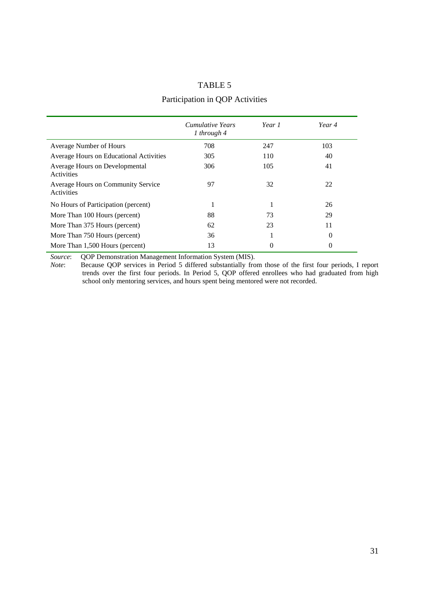## Participation in QOP Activities

|                                                         | <i>Cumulative Years</i><br>1 through $4$ | Year 1 | Year 4   |
|---------------------------------------------------------|------------------------------------------|--------|----------|
| Average Number of Hours                                 | 708                                      | 247    | 103      |
| Average Hours on Educational Activities                 | 305                                      | 110    | 40       |
| Average Hours on Developmental<br>Activities            | 306                                      | 105    | 41       |
| <b>Average Hours on Community Service</b><br>Activities | 97                                       | 32     | 22       |
| No Hours of Participation (percent)                     |                                          |        | 26       |
| More Than 100 Hours (percent)                           | 88                                       | 73     | 29       |
| More Than 375 Hours (percent)                           | 62                                       | 23     | 11       |
| More Than 750 Hours (percent)                           | 36                                       |        | $\theta$ |
| More Than 1,500 Hours (percent)                         | 13                                       | 0      | 0        |

*Source*: QOP Demonstration Management Information System (MIS).

*Note*: Because QOP services in Period 5 differed substantially from those of the first four periods, I report trends over the first four periods. In Period 5, QOP offered enrollees who had graduated from high school only mentoring services, and hours spent being mentored were not recorded.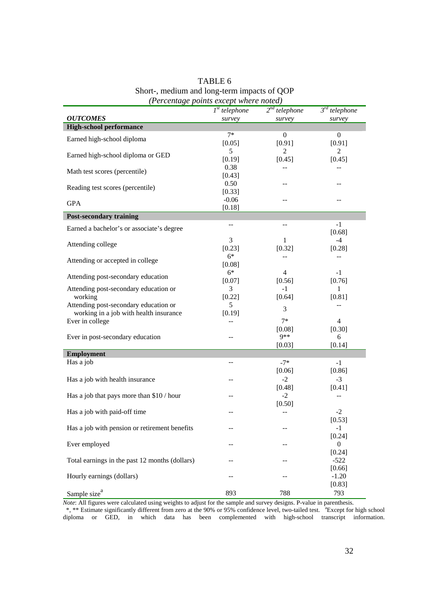|                                                  | (I ercentuge points except where holeu) |                               |                    |  |  |  |
|--------------------------------------------------|-----------------------------------------|-------------------------------|--------------------|--|--|--|
|                                                  | $Ist$ telephone                         | $\overline{2^{nd}}$ telephone | $3^{rd}$ telephone |  |  |  |
| <b>OUTCOMES</b>                                  | survey                                  | survey                        | survey             |  |  |  |
| <b>High-school performance</b>                   |                                         |                               |                    |  |  |  |
| Earned high-school diploma                       | $7*$                                    | $\overline{0}$                | $\boldsymbol{0}$   |  |  |  |
|                                                  | [0.05]                                  | [0.91]                        | [0.91]             |  |  |  |
| Earned high-school diploma or GED                | 5                                       | 2                             | 2                  |  |  |  |
|                                                  | [0.19]                                  | [0.45]                        | [0.45]             |  |  |  |
| Math test scores (percentile)                    | 0.38                                    |                               |                    |  |  |  |
|                                                  | [0.43]                                  |                               |                    |  |  |  |
| Reading test scores (percentile)                 | 0.50                                    |                               |                    |  |  |  |
|                                                  | [0.33]                                  |                               |                    |  |  |  |
| <b>GPA</b>                                       | $-0.06$                                 |                               |                    |  |  |  |
|                                                  | [0.18]                                  |                               |                    |  |  |  |
| <b>Post-secondary training</b>                   |                                         |                               |                    |  |  |  |
| Earned a bachelor's or associate's degree        | --                                      | $-$                           | $-1$               |  |  |  |
|                                                  |                                         |                               | [0.68]             |  |  |  |
| Attending college                                | 3                                       | 1                             | $-4$               |  |  |  |
|                                                  | [0.23]<br>$6*$                          | [0.32]                        | [0.28]             |  |  |  |
| Attending or accepted in college                 |                                         |                               |                    |  |  |  |
|                                                  | [0.08]                                  |                               |                    |  |  |  |
| Attending post-secondary education               | $6*$                                    | $\overline{4}$                | $-1$<br>[0.76]     |  |  |  |
|                                                  | [0.07]<br>3                             | [0.56]<br>$-1$                |                    |  |  |  |
| Attending post-secondary education or<br>working |                                         |                               | 1<br>[0.81]        |  |  |  |
| Attending post-secondary education or            | $[0.22]$<br>5                           | [0.64]                        | $-$                |  |  |  |
| working in a job with health insurance           | [0.19]                                  | 3                             |                    |  |  |  |
| Ever in college                                  |                                         | $7*$                          | $\overline{4}$     |  |  |  |
|                                                  |                                         | [0.08]                        | [0.30]             |  |  |  |
| Ever in post-secondary education                 | --                                      | $9**$                         | 6                  |  |  |  |
|                                                  |                                         | [0.03]                        | [0.14]             |  |  |  |
| <b>Employment</b>                                |                                         |                               |                    |  |  |  |
| Has a job                                        | --                                      | $-7*$                         | $-1$               |  |  |  |
|                                                  |                                         | [0.06]                        | [0.86]             |  |  |  |
|                                                  |                                         |                               |                    |  |  |  |
| Has a job with health insurance                  |                                         | $-2$<br>[0.48]                | $-3$               |  |  |  |
| Has a job that pays more than \$10 / hour        |                                         | $-2$                          | [0.41]             |  |  |  |
|                                                  |                                         | [0.50]                        |                    |  |  |  |
| Has a job with paid-off time                     |                                         |                               | $-2$               |  |  |  |
|                                                  |                                         |                               | [0.53]             |  |  |  |
| Has a job with pension or retirement benefits    | --                                      |                               | $-1$               |  |  |  |
|                                                  |                                         |                               | [0.24]             |  |  |  |
| Ever employed                                    | --                                      |                               | $\boldsymbol{0}$   |  |  |  |
|                                                  |                                         |                               | [0.24]             |  |  |  |
| Total earnings in the past 12 months (dollars)   | --                                      |                               | $-522$             |  |  |  |
|                                                  |                                         |                               | [0.66]             |  |  |  |
| Hourly earnings (dollars)                        | --                                      |                               | $-1.20$            |  |  |  |
|                                                  |                                         |                               | [0.83]             |  |  |  |
| Sample size <sup>a</sup>                         | 893                                     | 788                           | 793                |  |  |  |
|                                                  |                                         |                               |                    |  |  |  |

## TABLE 6 Short-, medium and long-term impacts of QOP  *(Percentage points except where noted)*

*Note*: All figures were calculated using weights to adjust for the sample and survey designs. P-value in parenthesis.

\*, \*\* Estimate significantly different from zero at the 90% or 95% confidence level, two-tailed test. <sup>a</sup> Except for high school diploma or GED, in which data has been complemented with high-school transcript information.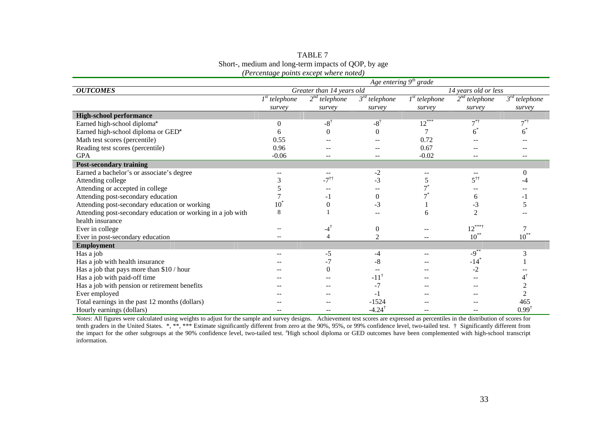| TABLE 7                                             |
|-----------------------------------------------------|
| Short-, medium and long-term impacts of QOP, by age |
| (Percentage points except where noted)              |

|                                                             | Age entering $9th$ grade  |                    |                               |                 |                             |                    |
|-------------------------------------------------------------|---------------------------|--------------------|-------------------------------|-----------------|-----------------------------|--------------------|
| <b>OUTCOMES</b>                                             | Greater than 14 years old |                    | 14 years old or less          |                 |                             |                    |
|                                                             | $Ist$ telephone           | $2nd$ telephone    | $\overline{3^{rd}}$ telephone | $Ist$ telephone | $2nd$ telephone             | $3^{rd}$ telephone |
|                                                             | survey                    | survey             | survey                        | survey          | survey                      | survey             |
| <b>High-school performance</b>                              |                           |                    |                               |                 |                             |                    |
| Earned high-school diploma <sup>a</sup>                     | $\theta$                  | $-8$ <sup>†</sup>  | $-8$ <sup>†</sup>             | $12***$         | $7^{\ast\dagger}$           | $7^{*+}$           |
| Earned high-school diploma or GED <sup>a</sup>              | 6                         | $\theta$           |                               |                 | 6                           | h                  |
| Math test scores (percentile)                               | 0.55                      |                    |                               | 0.72            |                             |                    |
| Reading test scores (percentile)                            | 0.96                      |                    |                               | 0.67            |                             |                    |
| <b>GPA</b>                                                  | $-0.06$                   |                    |                               | $-0.02$         |                             |                    |
| <b>Post-secondary training</b>                              |                           |                    |                               |                 |                             |                    |
| Earned a bachelor's or associate's degree                   |                           |                    | $-2$                          |                 |                             | $\Omega$           |
| Attending college                                           |                           | $-7$ <sup>††</sup> | $-3$                          |                 | $5^{\dagger\dagger}$        |                    |
| Attending or accepted in college                            |                           |                    |                               |                 |                             |                    |
| Attending post-secondary education                          |                           | - 1                | $\Omega$                      |                 | 6                           |                    |
| Attending post-secondary education or working               | $10^{\circ}$              | $\overline{0}$     | $-3$                          |                 | -3                          |                    |
| Attending post-secondary education or working in a job with | 8                         |                    |                               | 6               | $\mathcal{D}_{\mathcal{L}}$ |                    |
| health insurance                                            |                           |                    |                               |                 |                             |                    |
| Ever in college                                             |                           | $-4^{\dagger}$     | $\mathbf{0}$                  |                 | $12^{***}$                  |                    |
| Ever in post-secondary education                            | $\overline{\phantom{a}}$  | $\overline{4}$     | 2                             | $-$             | $10^{**}$                   | $10^{**}$          |
| <b>Employment</b>                                           |                           |                    |                               |                 |                             |                    |
| Has a job                                                   |                           | -5                 | -4                            |                 | $-9^{**}$                   | 3                  |
| Has a job with health insurance                             |                           | $-7$               | $-8$                          |                 | $-14$ <sup>*</sup>          |                    |
| Has a job that pays more than \$10 / hour                   |                           | $\boldsymbol{0}$   |                               |                 | $-2$                        |                    |
| Has a job with paid-off time                                |                           |                    | $-11$ <sup>†</sup>            |                 |                             |                    |
| Has a job with pension or retirement benefits               |                           |                    | $-7$                          |                 |                             |                    |
| Ever employed                                               |                           |                    | - 1                           |                 |                             |                    |
| Total earnings in the past 12 months (dollars)              |                           |                    | $-1524$                       |                 |                             | 465                |
| Hourly earnings (dollars)                                   |                           |                    | $-4.24$                       |                 |                             | $0.99^{\dagger}$   |

*Notes*: All figures were calculated using weights to adjust for the sample and survey designs. Achievement test scores are expressed as percentiles in the distribution of scores for tenth graders in the United States. \*, \*\*, \*\*\* Estimate significantly different from zero at the 90%, 95%, or 99% confidence level, two-tailed test. † Significantly different from the impact for the other subgroups at the 90% confidence level, two-tailed test. <sup>a</sup>High school diploma or GED outcomes have been complemented with high-school transcript information.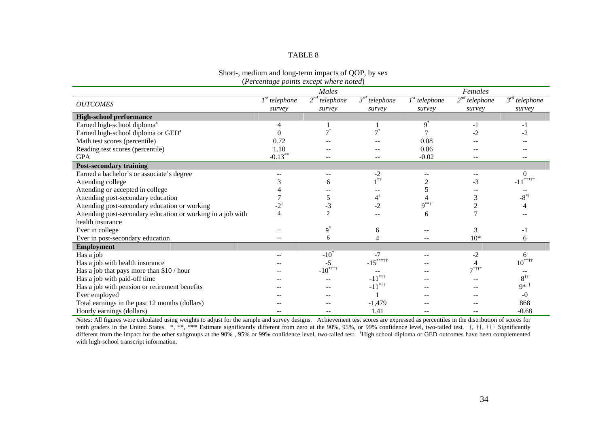| Short-, medium and long-term impacts of QOP, by sex |  |
|-----------------------------------------------------|--|
| (Percentage points except where noted)              |  |

|                                                             |                   | Males           |                       |                 | Females                               |                               |
|-------------------------------------------------------------|-------------------|-----------------|-----------------------|-----------------|---------------------------------------|-------------------------------|
|                                                             | $Ist$ telephone   | $2nd$ telephone | $3^{rd}$ telephone    | $1st$ telephone | $2nd$ telephone                       | $3^{rd}$ telephone            |
| <b>OUTCOMES</b>                                             | survey            | survey          | survey                | survey          | survey                                | survey                        |
| <b>High-school performance</b>                              |                   |                 |                       |                 |                                       |                               |
| Earned high-school diploma <sup>a</sup>                     | 4                 |                 |                       | $9^*$           | $-1$                                  | -1                            |
| Earned high-school diploma or GED <sup>a</sup>              |                   |                 | $\boldsymbol{\tau}^*$ |                 | $-2$                                  |                               |
| Math test scores (percentile)                               | 0.72              |                 |                       | 0.08            |                                       |                               |
| Reading test scores (percentile)                            | 1.10              |                 |                       | 0.06            |                                       |                               |
| <b>GPA</b>                                                  | $-0.13***$        |                 |                       | $-0.02$         |                                       |                               |
| <b>Post-secondary training</b>                              |                   |                 |                       |                 |                                       |                               |
| Earned a bachelor's or associate's degree                   |                   |                 | $-2$                  |                 |                                       | $\Omega$                      |
| Attending college                                           |                   | 6               |                       |                 | $-3$                                  | ***++                         |
| Attending or accepted in college                            |                   |                 |                       |                 |                                       |                               |
| Attending post-secondary education                          |                   | 5               | $4^\dagger$           |                 | 3                                     | $-8^{*}$                      |
| Attending post-secondary education or working               | $-2$ <sup>†</sup> | $-3$            | -2                    | $9***$          | $\overline{c}$                        |                               |
| Attending post-secondary education or working in a job with | $\overline{4}$    | $\overline{2}$  |                       | 6               |                                       |                               |
| health insurance                                            |                   |                 |                       |                 |                                       |                               |
| Ever in college                                             |                   | $9^*$           | 6                     |                 | 3                                     | - 1                           |
| Ever in post-secondary education                            |                   | 6               |                       |                 | $10*$                                 | 6                             |
| <b>Employment</b>                                           |                   |                 |                       |                 |                                       |                               |
| Has a job                                                   |                   | $-10^{*}$       | -7                    |                 | $-2$                                  | 6                             |
| Has a job with health insurance                             |                   | $-5$            | $-15***$              |                 |                                       | $10^{*\dagger\dagger\dagger}$ |
| Has a job that pays more than \$10 / hour                   |                   | $-10^{*+11}$    |                       |                 | $7$ <sup><math>\dagger</math>†*</sup> |                               |
| Has a job with paid-off time                                |                   |                 | $-11$ <sup>*††</sup>  |                 |                                       | $8^{\dagger\dagger}$          |
| Has a job with pension or retirement benefits               |                   |                 | $-11$ <sup>*††</sup>  |                 |                                       | $9*$                          |
| Ever employed                                               |                   |                 |                       |                 |                                       | $-0$                          |
| Total earnings in the past 12 months (dollars)              |                   |                 | $-1,479$              |                 |                                       | 868                           |
| Hourly earnings (dollars)                                   |                   |                 | 1.41                  |                 |                                       | $-0.68$                       |

*Notes*: All figures were calculated using weights to adjust for the sample and survey designs. Achievement test scores are expressed as percentiles in the distribution of scores for tenth graders in the United States. \*, \*\*, \*\*\* Estimate significantly different from zero at the 90%, 95%, or 99% confidence level, two-tailed test. †, ††, ††† Significantly different from the impact for the other subgroups at the 90%, 95% or 99% confidence level, two-tailed test. <sup>a</sup>High school diploma or GED outcomes have been complemented with high-school transcript information.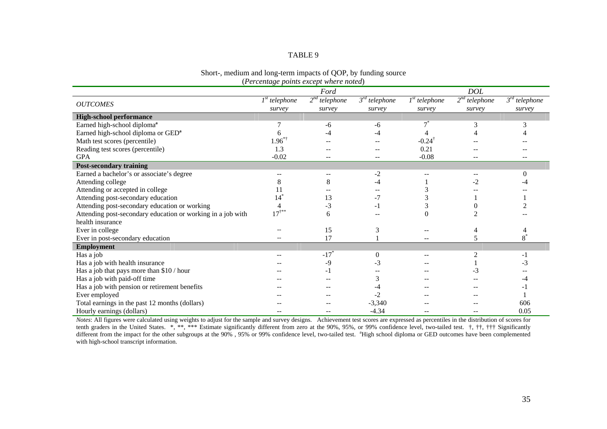#### Short-, medium and long-term impacts of QOP, by funding source (*Percentage points except where noted*)

|                                                             |                  | Ford               |                    |                               | <b>DOL</b>      |                               |
|-------------------------------------------------------------|------------------|--------------------|--------------------|-------------------------------|-----------------|-------------------------------|
|                                                             | $Ist$ telephone  | $2nd$ telephone    | $3^{rd}$ telephone | $\overline{I}^{st}$ telephone | $2nd$ telephone | $\overline{3}^{rd}$ telephone |
| <b>OUTCOMES</b>                                             | survey           | survey             | survey             | survey                        | survey          | survey                        |
| <b>High-school performance</b>                              |                  |                    |                    |                               |                 |                               |
| Earned high-school diploma <sup>a</sup>                     |                  | -6                 | -6                 |                               | 3               | 3                             |
| Earned high-school diploma or GED <sup>a</sup>              |                  | -4                 |                    |                               |                 |                               |
| Math test scores (percentile)                               | $1.96*$          |                    |                    | $-0.24^{\dagger}$             |                 |                               |
| Reading test scores (percentile)                            | 1.3              |                    |                    | 0.21                          |                 |                               |
| <b>GPA</b>                                                  | $-0.02$          |                    |                    | $-0.08$                       |                 |                               |
| <b>Post-secondary training</b>                              |                  |                    |                    |                               |                 |                               |
| Earned a bachelor's or associate's degree                   |                  |                    | -2                 |                               |                 | $\Omega$                      |
| Attending college                                           |                  | 8                  | -4                 |                               | -2              |                               |
| Attending or accepted in college                            |                  |                    |                    |                               |                 |                               |
| Attending post-secondary education                          | 14               | 13                 | $-7$               |                               |                 |                               |
| Attending post-secondary education or working               | 4                | $-3$               | $-1$               |                               |                 |                               |
| Attending post-secondary education or working in a job with | $17^{\dagger**}$ | 6                  |                    |                               |                 |                               |
| health insurance                                            |                  |                    |                    |                               |                 |                               |
| Ever in college                                             |                  | 15                 | 3                  |                               |                 |                               |
| Ever in post-secondary education                            |                  | 17                 |                    |                               | 5               | $8^\degree$                   |
| <b>Employment</b>                                           |                  |                    |                    |                               |                 |                               |
| Has a job                                                   |                  | $-17$ <sup>*</sup> | $\Omega$           |                               |                 |                               |
| Has a job with health insurance                             |                  | -9                 | -3                 |                               |                 | - 3                           |
| Has a job that pays more than \$10 / hour                   |                  | - 1                |                    |                               | -3              |                               |
| Has a job with paid-off time                                |                  |                    |                    |                               |                 |                               |
| Has a job with pension or retirement benefits               |                  |                    |                    |                               |                 |                               |
| Ever employed                                               |                  |                    |                    |                               |                 |                               |
| Total earnings in the past 12 months (dollars)              |                  |                    | $-3,340$           |                               |                 | 606                           |
| Hourly earnings (dollars)                                   |                  |                    | $-4.34$            |                               |                 | 0.05                          |

*Notes*: All figures were calculated using weights to adjust for the sample and survey designs. Achievement test scores are expressed as percentiles in the distribution of scores for tenth graders in the United States. \*, \*\*, \*\*\* Estimate significantly different from zero at the 90%, 95%, or 99% confidence level, two-tailed test. †, ††, ††† Significantly different from the impact for the other subgroups at the 90%, 95% or 99% confidence level, two-tailed test. <sup>a</sup>High school diploma or GED outcomes have been complemented with high-school transcript information.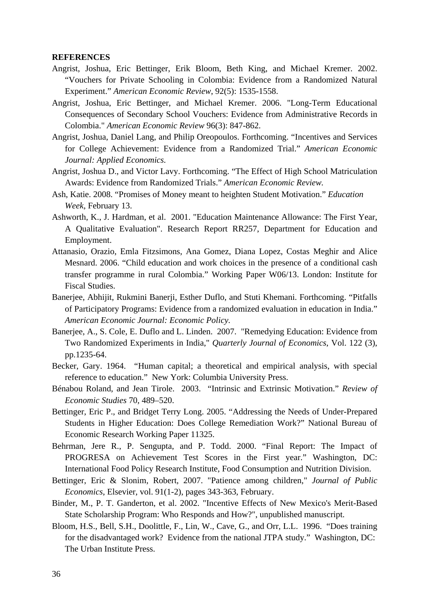#### **REFERENCES**

- Angrist, Joshua, Eric Bettinger, Erik Bloom, Beth King, and Michael Kremer. 2002. "Vouchers for Private Schooling in Colombia: Evidence from a Randomized Natural Experiment." *American Economic Review*, 92(5): 1535-1558.
- Angrist, Joshua, Eric Bettinger, and Michael Kremer. 2006. "Long-Term Educational Consequences of Secondary School Vouchers: Evidence from Administrative Records in Colombia." *American Economic Review* 96(3): 847-862.
- Angrist, Joshua, Daniel Lang, and Philip Oreopoulos. Forthcoming. "Incentives and Services for College Achievement: Evidence from a Randomized Trial." *American Economic Journal: Applied Economics.*
- Angrist, Joshua D., and Victor Lavy. Forthcoming. "The Effect of High School Matriculation Awards: Evidence from Randomized Trials." *American Economic Review.*
- Ash, Katie. 2008. "Promises of Money meant to heighten Student Motivation." *Education Week*, February 13.
- Ashworth, K., J. Hardman, et al. 2001. "Education Maintenance Allowance: The First Year, A Qualitative Evaluation". Research Report RR257, Department for Education and Employment.
- Attanasio, Orazio, Emla Fitzsimons, Ana Gomez, Diana Lopez, Costas Meghir and Alice Mesnard. 2006. "Child education and work choices in the presence of a conditional cash transfer programme in rural Colombia." Working Paper W06/13. London: Institute for Fiscal Studies.
- Banerjee, Abhijit, Rukmini Banerji, Esther Duflo, and Stuti Khemani. Forthcoming. "Pitfalls of Participatory Programs: Evidence from a randomized evaluation in education in India." *American Economic Journal: Economic Policy.*
- Banerjee, A., S. Cole, E. Duflo and L. Linden. 2007. "Remedying Education: Evidence from Two Randomized Experiments in India," *Quarterly Journal of Economics*, Vol. 122 (3), pp.1235-64.
- Becker, Gary. 1964. "Human capital; a theoretical and empirical analysis, with special reference to education." New York: Columbia University Press.
- Bénabou Roland, and Jean Tirole. 2003. "Intrinsic and Extrinsic Motivation." *Review of Economic Studies* 70, 489–520.
- Bettinger, Eric P., and Bridget Terry Long. 2005. "Addressing the Needs of Under-Prepared Students in Higher Education: Does College Remediation Work?" National Bureau of Economic Research Working Paper 11325.
- Behrman, Jere R., P. Sengupta, and P. Todd. 2000. "Final Report: The Impact of PROGRESA on Achievement Test Scores in the First year." Washington, DC: International Food Policy Research Institute, Food Consumption and Nutrition Division.
- Bettinger, Eric & Slonim, Robert, 2007. "Patience among children," *Journal of Public Economics*, Elsevier, vol. 91(1-2), pages 343-363, February.
- Binder, M., P. T. Ganderton, et al. 2002. "Incentive Effects of New Mexico's Merit-Based State Scholarship Program: Who Responds and How?", unpublished manuscript.
- Bloom, H.S., Bell, S.H., Doolittle, F., Lin, W., Cave, G., and Orr, L.L. 1996. "Does training for the disadvantaged work? Evidence from the national JTPA study." Washington, DC: The Urban Institute Press.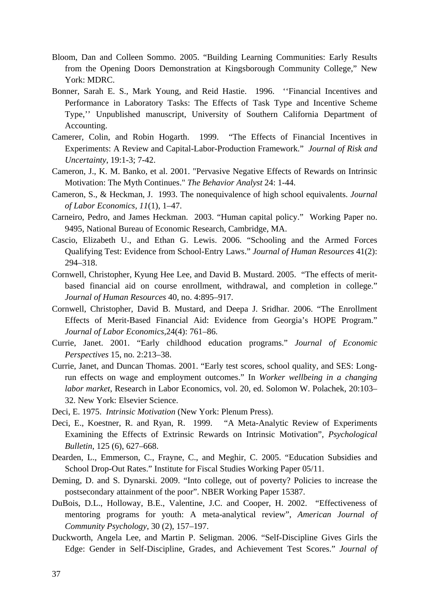- Bloom, Dan and Colleen Sommo. 2005. "Building Learning Communities: Early Results from the Opening Doors Demonstration at Kingsborough Community College," New York: MDRC.
- Bonner, Sarah E. S., Mark Young, and Reid Hastie. 1996. ''Financial Incentives and Performance in Laboratory Tasks: The Effects of Task Type and Incentive Scheme Type,'' Unpublished manuscript, University of Southern California Department of Accounting.
- Camerer, Colin, and Robin Hogarth. 1999. "The Effects of Financial Incentives in Experiments: A Review and Capital-Labor-Production Framework." *Journal of Risk and Uncertainty*, 19:1-3; 7-42.
- Cameron, J., K. M. Banko, et al. 2001. "Pervasive Negative Effects of Rewards on Intrinsic Motivation: The Myth Continues." *The Behavior Analyst* 24: 1-44.
- Cameron, S., & Heckman, J. 1993. The nonequivalence of high school equivalents. *Journal of Labor Economics, 11*(1)*,* 1–47.
- Carneiro, Pedro, and James Heckman. 2003. "Human capital policy." Working Paper no. 9495, National Bureau of Economic Research, Cambridge, MA.
- Cascio, Elizabeth U., and Ethan G. Lewis. 2006. "Schooling and the Armed Forces Qualifying Test: Evidence from School-Entry Laws." *Journal of Human Resources* 41(2): 294–318.
- Cornwell, Christopher, Kyung Hee Lee, and David B. Mustard. 2005. "The effects of meritbased financial aid on course enrollment, withdrawal, and completion in college." *Journal of Human Resources* 40, no. 4:895–917.
- Cornwell, Christopher, David B. Mustard, and Deepa J. Sridhar. 2006. "The Enrollment Effects of Merit-Based Financial Aid: Evidence from Georgia's HOPE Program." *Journal of Labor Economics*,24(4): 761–86.
- Currie, Janet. 2001. "Early childhood education programs." *Journal of Economic Perspectives* 15, no. 2:213–38.
- Currie, Janet, and Duncan Thomas. 2001. "Early test scores, school quality, and SES: Longrun effects on wage and employment outcomes." In *Worker wellbeing in a changing labor market*, Research in Labor Economics, vol. 20, ed. Solomon W. Polachek, 20:103– 32. New York: Elsevier Science.
- Deci, E. 1975. *Intrinsic Motivation* (New York: Plenum Press).
- Deci, E., Koestner, R. and Ryan, R. 1999. "A Meta-Analytic Review of Experiments Examining the Effects of Extrinsic Rewards on Intrinsic Motivation", *Psychological Bulletin*, 125 (6), 627–668.
- Dearden, L., Emmerson, C., Frayne, C., and Meghir, C. 2005. "Education Subsidies and School Drop-Out Rates." Institute for Fiscal Studies Working Paper 05/11.
- Deming, D. and S. Dynarski. 2009. "Into college, out of poverty? Policies to increase the postsecondary attainment of the poor". NBER Working Paper 15387.
- DuBois, D.L., Holloway, B.E., Valentine, J.C. and Cooper, H. 2002. "Effectiveness of mentoring programs for youth: A meta-analytical review", *American Journal of Community Psychology*, 30 (2), 157–197.
- Duckworth, Angela Lee, and Martin P. Seligman. 2006. "Self-Discipline Gives Girls the Edge: Gender in Self-Discipline, Grades, and Achievement Test Scores." *Journal of*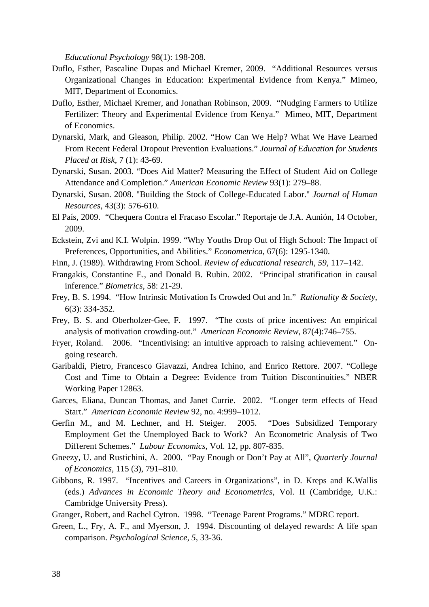*Educational Psychology* 98(1): 198-208.

- Duflo, Esther, Pascaline Dupas and Michael Kremer, 2009. "Additional Resources versus Organizational Changes in Education: Experimental Evidence from Kenya." Mimeo, MIT, Department of Economics.
- Duflo, Esther, Michael Kremer, and Jonathan Robinson, 2009. "Nudging Farmers to Utilize Fertilizer: Theory and Experimental Evidence from Kenya." Mimeo, MIT, Department of Economics.
- Dynarski, Mark, and Gleason, Philip. 2002. "How Can We Help? What We Have Learned From Recent Federal Dropout Prevention Evaluations." *Journal of Education for Students Placed at Risk*, 7 (1): 43-69.
- Dynarski, Susan. 2003. "Does Aid Matter? Measuring the Effect of Student Aid on College Attendance and Completion." *American Economic Review* 93(1): 279–88.
- Dynarski, Susan. 2008. "Building the Stock of College-Educated Labor." *Journal of Human Resources*, 43(3): 576-610.
- El País, 2009. "Chequera Contra el Fracaso Escolar." Reportaje de J.A. Aunión, 14 October, 2009.
- Eckstein, Zvi and K.I. Wolpin. 1999. "Why Youths Drop Out of High School: The Impact of Preferences, Opportunities, and Abilities." *Econometrica,* 67(6): 1295-1340.
- Finn, J. (1989). Withdrawing From School. *Review of educational research, 59*, 117–142.
- Frangakis, Constantine E., and Donald B. Rubin. 2002. "Principal stratification in causal inference." *Biometrics*, 58: 21-29.
- Frey, B. S. 1994. "How Intrinsic Motivation Is Crowded Out and In." *Rationality & Society*, 6(3): 334-352.
- Frey, B. S. and Oberholzer-Gee, F. 1997. "The costs of price incentives: An empirical analysis of motivation crowding-out." *American Economic Review*, 87(4):746–755.
- Fryer, Roland. 2006. "Incentivising: an intuitive approach to raising achievement." Ongoing research.
- Garibaldi, Pietro, Francesco Giavazzi, Andrea Ichino, and Enrico Rettore. 2007. "College Cost and Time to Obtain a Degree: Evidence from Tuition Discontinuities." NBER Working Paper 12863.
- Garces, Eliana, Duncan Thomas, and Janet Currie. 2002. "Longer term effects of Head Start." *American Economic Review* 92, no. 4:999–1012.
- Gerfin M., and M. Lechner, and H. Steiger. 2005. "Does Subsidized Temporary Employment Get the Unemployed Back to Work? An Econometric Analysis of Two Different Schemes." *Labour Economics,* Vol. 12, pp. 807-835.
- Gneezy, U. and Rustichini, A. 2000. "Pay Enough or Don't Pay at All", *Quarterly Journal of Economics*, 115 (3), 791–810.
- Gibbons, R. 1997. "Incentives and Careers in Organizations", in D. Kreps and K.Wallis (eds.) *Advances in Economic Theory and Econometrics*, Vol. II (Cambridge, U.K.: Cambridge University Press).
- Granger, Robert, and Rachel Cytron. 1998. "Teenage Parent Programs." MDRC report.
- Green, L., Fry, A. F., and Myerson, J. 1994. Discounting of delayed rewards: A life span comparison. *Psychological Science, 5*, 33-36.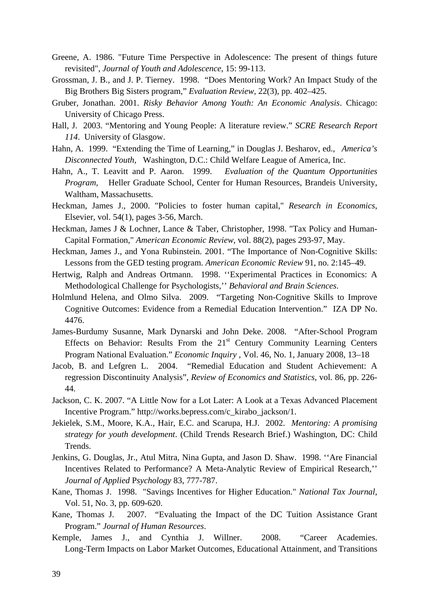- Greene, A. 1986. "Future Time Perspective in Adolescence: The present of things future revisited", *Journal of Youth and Adolescence*, 15: 99-113.
- Grossman, J. B., and J. P. Tierney. 1998. "Does Mentoring Work? An Impact Study of the Big Brothers Big Sisters program," *Evaluation Review,* 22(3), pp. 402–425.
- Gruber, Jonathan. 2001. *Risky Behavior Among Youth: An Economic Analysis*. Chicago: University of Chicago Press.
- Hall, J. 2003. "Mentoring and Young People: A literature review." *SCRE Research Report 114*. University of Glasgow.
- Hahn, A. 1999. "Extending the Time of Learning," in Douglas J. Besharov, ed., *America's Disconnected Youth,* Washington, D.C.: Child Welfare League of America, Inc.
- Hahn, A., T. Leavitt and P. Aaron. 1999. *Evaluation of the Quantum Opportunities Program,* Heller Graduate School, Center for Human Resources, Brandeis University, Waltham, Massachusetts.
- Heckman, James J., 2000. "Policies to foster human capital," *Research in Economics*, Elsevier, vol. 54(1), pages 3-56, March.
- Heckman, James J & Lochner, Lance & Taber, Christopher, 1998. "Tax Policy and Human-Capital Formation," *American Economic Review*, vol. 88(2), pages 293-97, May.
- Heckman, James J., and Yona Rubinstein. 2001. "The Importance of Non-Cognitive Skills: Lessons from the GED testing program. *American Economic Review* 91, no. 2:145–49.
- Hertwig, Ralph and Andreas Ortmann. 1998. ''Experimental Practices in Economics: A Methodological Challenge for Psychologists,'' *Behavioral and Brain Sciences*.
- Holmlund Helena, and Olmo Silva. 2009. "Targeting Non-Cognitive Skills to Improve Cognitive Outcomes: Evidence from a Remedial Education Intervention." IZA DP No. 4476.
- James-Burdumy Susanne, Mark Dynarski and John Deke. 2008. "After-School Program Effects on Behavior: Results From the  $21<sup>st</sup>$  Century Community Learning Centers Program National Evaluation." *Economic Inquiry* , Vol. 46, No. 1, January 2008, 13–18
- Jacob, B. and Lefgren L. 2004. "Remedial Education and Student Achievement: A regression Discontinuity Analysis", *Review of Economics and Statistics*, vol. 86, pp. 226- 44.
- Jackson, C. K. 2007. "A Little Now for a Lot Later: A Look at a Texas Advanced Placement Incentive Program." http://works.bepress.com/c\_kirabo\_jackson/1.
- Jekielek, S.M., Moore, K.A., Hair, E.C. and Scarupa, H.J. 2002. *Mentoring: A promising strategy for youth development*. (Child Trends Research Brief.) Washington, DC: Child Trends.
- Jenkins, G. Douglas, Jr., Atul Mitra, Nina Gupta, and Jason D. Shaw. 1998. ''Are Financial Incentives Related to Performance? A Meta-Analytic Review of Empirical Research,'' *Journal of Applied* P*sychology* 83, 777-787.
- Kane, Thomas J. 1998. "Savings Incentives for Higher Education." *National Tax Journal*, Vol. 51, No. 3, pp. 609-620.
- Kane, Thomas J. 2007. "Evaluating the Impact of the DC Tuition Assistance Grant Program." *Journal of Human Resources*.
- Kemple, James J., and Cynthia J. Willner. 2008. "Career Academies. Long-Term Impacts on Labor Market Outcomes, Educational Attainment, and Transitions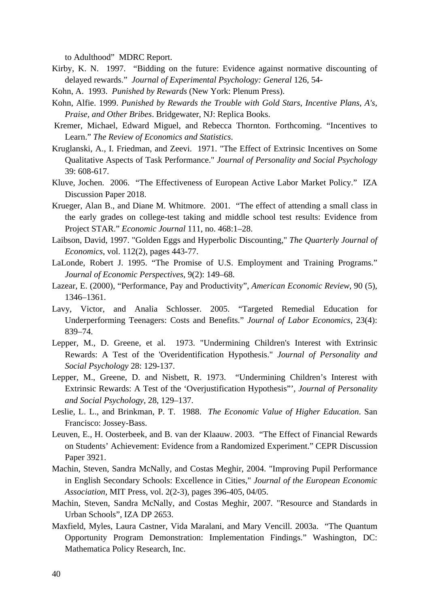to Adulthood" MDRC Report.

- Kirby, K. N. 1997. "Bidding on the future: Evidence against normative discounting of delayed rewards." *Journal of Experimental Psychology: General* 126, 54-
- Kohn, A. 1993. *Punished by Rewards* (New York: Plenum Press).
- Kohn, Alfie. 1999. *Punished by Rewards the Trouble with Gold Stars, Incentive Plans, A's, Praise, and Other Bribes*. Bridgewater, NJ: Replica Books.
- Kremer, Michael, Edward Miguel, and Rebecca Thornton. Forthcoming. "Incentives to Learn." *The Review of Economics and Statistics*.
- Kruglanski, A., I. Friedman, and Zeevi. 1971. "The Effect of Extrinsic Incentives on Some Qualitative Aspects of Task Performance." *Journal of Personality and Social Psychology*  39: 608-617.
- Kluve, Jochen. 2006. "The Effectiveness of European Active Labor Market Policy." IZA Discussion Paper 2018.
- Krueger, Alan B., and Diane M. Whitmore. 2001. "The effect of attending a small class in the early grades on college-test taking and middle school test results: Evidence from Project STAR." *Economic Journal* 111, no. 468:1–28.
- Laibson, David, 1997. "Golden Eggs and Hyperbolic Discounting," *The Quarterly Journal of Economics*, vol. 112(2), pages 443-77.
- LaLonde, Robert J. 1995. "The Promise of U.S. Employment and Training Programs." *Journal of Economic Perspectives*, 9(2): 149–68.
- Lazear, E. (2000), "Performance, Pay and Productivity", *American Economic Review*, 90 (5), 1346–1361.
- Lavy, Victor, and Analia Schlosser. 2005. "Targeted Remedial Education for Underperforming Teenagers: Costs and Benefits." *Journal of Labor Economics*, 23(4): 839–74.
- Lepper, M., D. Greene, et al. 1973. "Undermining Children's Interest with Extrinsic Rewards: A Test of the 'Overidentification Hypothesis." *Journal of Personality and Social Psychology* 28: 129-137.
- Lepper, M., Greene, D. and Nisbett, R. 1973. "Undermining Children's Interest with Extrinsic Rewards: A Test of the 'Overjustification Hypothesis"', *Journal of Personality and Social Psychology*, 28, 129–137.
- Leslie, L. L., and Brinkman, P. T. 1988. *The Economic Value of Higher Education*. San Francisco: Jossey-Bass.
- Leuven, E., H. Oosterbeek, and B. van der Klaauw. 2003. "The Effect of Financial Rewards on Students' Achievement: Evidence from a Randomized Experiment." CEPR Discussion Paper 3921.
- Machin, Steven, Sandra McNally, and Costas Meghir, 2004. "Improving Pupil Performance in English Secondary Schools: Excellence in Cities," *Journal of the European Economic Association*, MIT Press, vol. 2(2-3), pages 396-405, 04/05.
- Machin, Steven, Sandra McNally, and Costas Meghir, 2007. "Resource and Standards in Urban Schools", IZA DP 2653.
- Maxfield, Myles, Laura Castner, Vida Maralani, and Mary Vencill. 2003a. "The Quantum Opportunity Program Demonstration: Implementation Findings." Washington, DC: Mathematica Policy Research, Inc.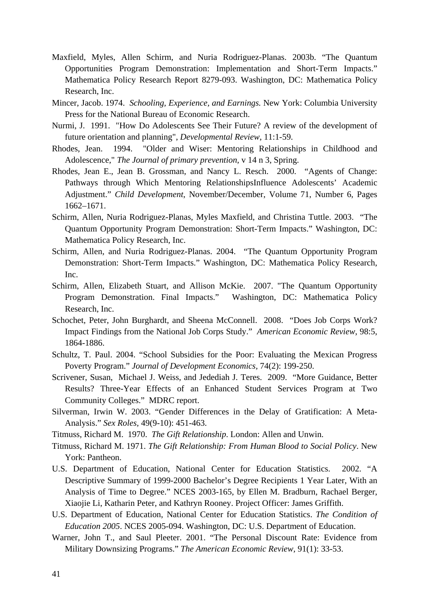- Maxfield, Myles, Allen Schirm, and Nuria Rodriguez-Planas. 2003b. "The Quantum Opportunities Program Demonstration: Implementation and Short-Term Impacts." Mathematica Policy Research Report 8279-093. Washington, DC: Mathematica Policy Research, Inc.
- Mincer, Jacob. 1974. *Schooling, Experience, and Earnings.* New York: Columbia University Press for the National Bureau of Economic Research.
- Nurmi, J. 1991. "How Do Adolescents See Their Future? A review of the development of future orientation and planning", *Developmental Review*, 11:1-59.
- Rhodes, Jean. 1994. "Older and Wiser: Mentoring Relationships in Childhood and Adolescence," *The Journal of primary prevention*, v 14 n 3, Spring.
- Rhodes, Jean E., Jean B. Grossman, and Nancy L. Resch. 2000. "Agents of Change: Pathways through Which Mentoring RelationshipsInfluence Adolescents' Academic Adjustment." *Child Development*, November/December, Volume 71, Number 6, Pages 1662–1671.
- Schirm, Allen, Nuria Rodriguez-Planas, Myles Maxfield, and Christina Tuttle. 2003. "The Quantum Opportunity Program Demonstration: Short-Term Impacts." Washington, DC: Mathematica Policy Research, Inc.
- Schirm, Allen, and Nuria Rodriguez-Planas. 2004. "The Quantum Opportunity Program Demonstration: Short-Term Impacts." Washington, DC: Mathematica Policy Research, Inc.
- Schirm, Allen, Elizabeth Stuart, and Allison McKie. 2007. "The Quantum Opportunity Program Demonstration. Final Impacts." Washington, DC: Mathematica Policy Research, Inc.
- Schochet, Peter, John Burghardt, and Sheena McConnell. 2008. "Does Job Corps Work? Impact Findings from the National Job Corps Study." *American Economic Review*, 98:5, 1864-1886.
- Schultz, T. Paul. 2004. "School Subsidies for the Poor: Evaluating the Mexican Progress Poverty Program." *Journal of Development Economics,* 74(2): 199-250.
- Scrivener, Susan, Michael J. Weiss, and Jedediah J. Teres. 2009. "More Guidance, Better Results? Three-Year Effects of an Enhanced Student Services Program at Two Community Colleges." MDRC report.
- Silverman, Irwin W. 2003. "Gender Differences in the Delay of Gratification: A Meta-Analysis." *Sex Roles,* 49(9-10): 451-463.
- Titmuss, Richard M. 1970. *The Gift Relationship*. London: Allen and Unwin.
- Titmuss, Richard M. 1971. *The Gift Relationship: From Human Blood to Social Policy*. New York: Pantheon.
- U.S. Department of Education, National Center for Education Statistics. 2002. "A Descriptive Summary of 1999-2000 Bachelor's Degree Recipients 1 Year Later, With an Analysis of Time to Degree." NCES 2003-165, by Ellen M. Bradburn, Rachael Berger, Xiaojie Li, Katharin Peter, and Kathryn Rooney. Project Officer: James Griffith.
- U.S. Department of Education, National Center for Education Statistics. *The Condition of Education 2005*. NCES 2005-094. Washington, DC: U.S. Department of Education.
- Warner, John T., and Saul Pleeter. 2001. "The Personal Discount Rate: Evidence from Military Downsizing Programs." *The American Economic Review,* 91(1): 33-53.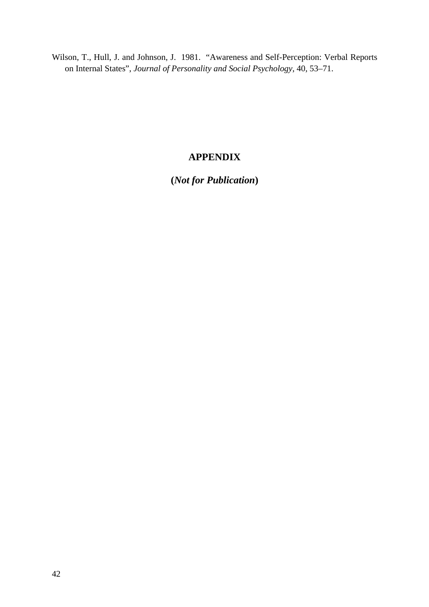Wilson, T., Hull, J. and Johnson, J. 1981. "Awareness and Self-Perception: Verbal Reports on Internal States", *Journal of Personality and Social Psychology*, 40, 53–71.

## **APPENDIX**

**(***Not for Publication***)**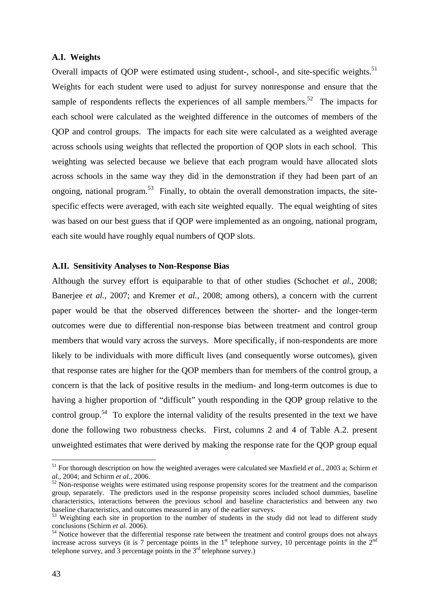## **A.I. Weights**

Overall impacts of QOP were estimated using student-, school-, and site-specific weights.<sup>51</sup> Weights for each student were used to adjust for survey nonresponse and ensure that the sample of respondents reflects the experiences of all sample members.<sup>52</sup> The impacts for each school were calculated as the weighted difference in the outcomes of members of the QOP and control groups. The impacts for each site were calculated as a weighted average across schools using weights that reflected the proportion of QOP slots in each school. This weighting was selected because we believe that each program would have allocated slots across schools in the same way they did in the demonstration if they had been part of an ongoing, national program.<sup>53</sup> Finally, to obtain the overall demonstration impacts, the sitespecific effects were averaged, with each site weighted equally. The equal weighting of sites was based on our best guess that if QOP were implemented as an ongoing, national program, each site would have roughly equal numbers of QOP slots.

## **A.II. Sensitivity Analyses to Non-Response Bias**

Although the survey effort is equiparable to that of other studies (Schochet *et al.*, 2008; Banerjee *et al.*, 2007; and Kremer *et al.*, 2008; among others), a concern with the current paper would be that the observed differences between the shorter- and the longer-term outcomes were due to differential non-response bias between treatment and control group members that would vary across the surveys. More specifically, if non-respondents are more likely to be individuals with more difficult lives (and consequently worse outcomes), given that response rates are higher for the QOP members than for members of the control group, a concern is that the lack of positive results in the medium- and long-term outcomes is due to having a higher proportion of "difficult" youth responding in the QOP group relative to the control group.<sup>54</sup> To explore the internal validity of the results presented in the text we have done the following two robustness checks. First, columns 2 and 4 of Table A.2. present unweighted estimates that were derived by making the response rate for the QOP group equal

 $\overline{a}$ 

<sup>51</sup> For thorough description on how the weighted averages were calculated see Maxfield *et al.*, 2003 a; Schirm *et al.*, 2004; and Schirm *et al.*, 2006.<br><sup>52</sup> Non-response weights were estimated using response propensity scores for the treatment and the comparison

group, separately. The predictors used in the response propensity scores included school dummies, baseline characteristics, interactions between the previous school and baseline characteristics and between any two baseline characteristics, and outcomes measured in any of the earlier surveys.

 $53$  Weighting each site in proportion to the number of students in the study did not lead to different study conclusions (Schirm *et al.* 2006).<br><sup>54</sup> Notice however that the differential response rate between the treatment and control groups does not always

increase across surveys (it is 7 percentage points in the  $1<sup>st</sup>$  telephone survey, 10 percentage points in the  $2<sup>nd</sup>$ telephone survey, and 3 percentage points in the  $3<sup>rd</sup>$  telephone survey.)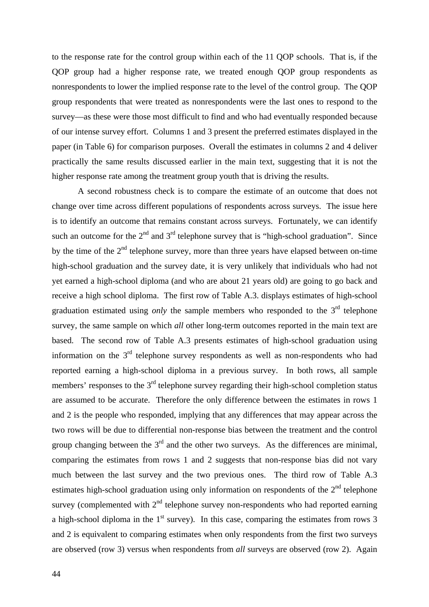to the response rate for the control group within each of the 11 QOP schools. That is, if the QOP group had a higher response rate, we treated enough QOP group respondents as nonrespondents to lower the implied response rate to the level of the control group. The QOP group respondents that were treated as nonrespondents were the last ones to respond to the survey—as these were those most difficult to find and who had eventually responded because of our intense survey effort. Columns 1 and 3 present the preferred estimates displayed in the paper (in Table 6) for comparison purposes. Overall the estimates in columns 2 and 4 deliver practically the same results discussed earlier in the main text, suggesting that it is not the higher response rate among the treatment group youth that is driving the results.

A second robustness check is to compare the estimate of an outcome that does not change over time across different populations of respondents across surveys. The issue here is to identify an outcome that remains constant across surveys. Fortunately, we can identify such an outcome for the  $2<sup>nd</sup>$  and  $3<sup>rd</sup>$  telephone survey that is "high-school graduation". Since by the time of the  $2<sup>nd</sup>$  telephone survey, more than three years have elapsed between on-time high-school graduation and the survey date, it is very unlikely that individuals who had not yet earned a high-school diploma (and who are about 21 years old) are going to go back and receive a high school diploma. The first row of Table A.3. displays estimates of high-school graduation estimated using *only* the sample members who responded to the 3<sup>rd</sup> telephone survey, the same sample on which *all* other long-term outcomes reported in the main text are based. The second row of Table A.3 presents estimates of high-school graduation using information on the  $3<sup>rd</sup>$  telephone survey respondents as well as non-respondents who had reported earning a high-school diploma in a previous survey. In both rows, all sample members' responses to the  $3<sup>rd</sup>$  telephone survey regarding their high-school completion status are assumed to be accurate. Therefore the only difference between the estimates in rows 1 and 2 is the people who responded, implying that any differences that may appear across the two rows will be due to differential non-response bias between the treatment and the control group changing between the  $3<sup>rd</sup>$  and the other two surveys. As the differences are minimal, comparing the estimates from rows 1 and 2 suggests that non-response bias did not vary much between the last survey and the two previous ones. The third row of Table A.3 estimates high-school graduation using only information on respondents of the  $2<sup>nd</sup>$  telephone survey (complemented with  $2<sup>nd</sup>$  telephone survey non-respondents who had reported earning a high-school diploma in the  $1<sup>st</sup>$  survey). In this case, comparing the estimates from rows 3 and 2 is equivalent to comparing estimates when only respondents from the first two surveys are observed (row 3) versus when respondents from *all* surveys are observed (row 2). Again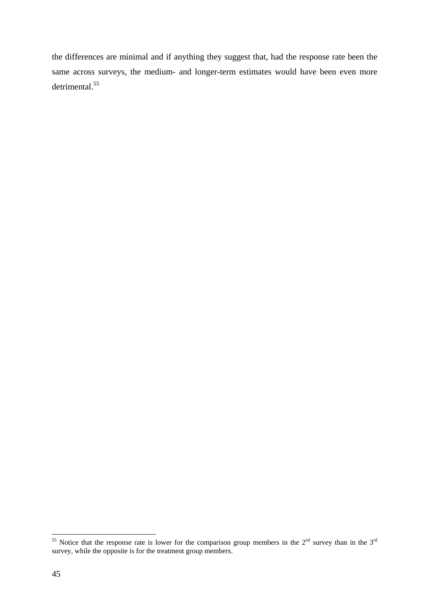the differences are minimal and if anything they suggest that, had the response rate been the same across surveys, the medium- and longer-term estimates would have been even more detrimental.<sup>55</sup>

 $\overline{a}$ <sup>55</sup> Notice that the response rate is lower for the comparison group members in the  $2<sup>nd</sup>$  survey than in the  $3<sup>rd</sup>$ survey, while the opposite is for the treatment group members.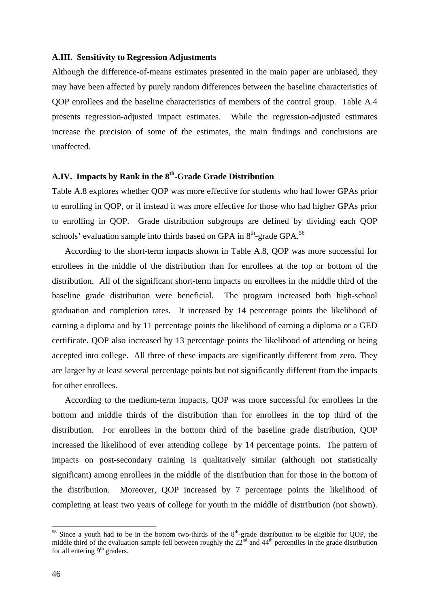## **A.III. Sensitivity to Regression Adjustments**

Although the difference-of-means estimates presented in the main paper are unbiased, they may have been affected by purely random differences between the baseline characteristics of QOP enrollees and the baseline characteristics of members of the control group. Table A.4 presents regression-adjusted impact estimates. While the regression-adjusted estimates increase the precision of some of the estimates, the main findings and conclusions are unaffected.

## **A.IV. Impacts by Rank in the 8th-Grade Grade Distribution**

 Table A.8 explores whether QOP was more effective for students who had lower GPAs prior to enrolling in QOP, or if instead it was more effective for those who had higher GPAs prior to enrolling in QOP. Grade distribution subgroups are defined by dividing each QOP schools' evaluation sample into thirds based on GPA in  $8<sup>th</sup>$ -grade GPA.<sup>56</sup>

 According to the short-term impacts shown in Table A.8, QOP was more successful for enrollees in the middle of the distribution than for enrollees at the top or bottom of the distribution. All of the significant short-term impacts on enrollees in the middle third of the baseline grade distribution were beneficial. The program increased both high-school graduation and completion rates. It increased by 14 percentage points the likelihood of earning a diploma and by 11 percentage points the likelihood of earning a diploma or a GED certificate. QOP also increased by 13 percentage points the likelihood of attending or being accepted into college. All three of these impacts are significantly different from zero. They are larger by at least several percentage points but not significantly different from the impacts for other enrollees.

 According to the medium-term impacts, QOP was more successful for enrollees in the bottom and middle thirds of the distribution than for enrollees in the top third of the distribution. For enrollees in the bottom third of the baseline grade distribution, QOP increased the likelihood of ever attending college by 14 percentage points. The pattern of impacts on post-secondary training is qualitatively similar (although not statistically significant) among enrollees in the middle of the distribution than for those in the bottom of the distribution. Moreover, QOP increased by 7 percentage points the likelihood of completing at least two years of college for youth in the middle of distribution (not shown).

 $\overline{a}$ 

<sup>&</sup>lt;sup>56</sup> Since a youth had to be in the bottom two-thirds of the  $8<sup>th</sup>$ -grade distribution to be eligible for QOP, the middle third of the evaluation sample fell between roughly the  $22<sup>nd</sup>$  and  $44<sup>th</sup>$  percentiles in the grade distribution for all entering  $9<sup>th</sup>$  graders.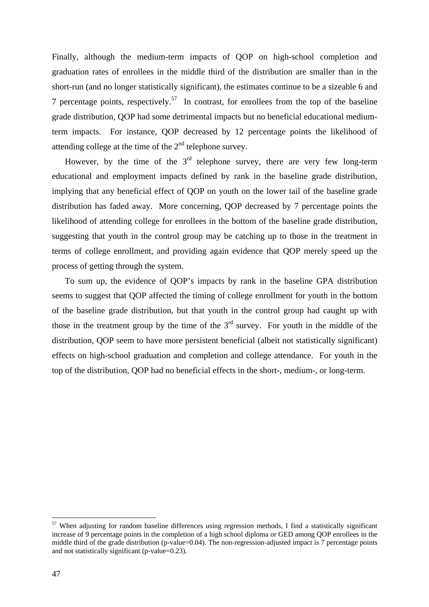Finally, although the medium-term impacts of QOP on high-school completion and graduation rates of enrollees in the middle third of the distribution are smaller than in the short-run (and no longer statistically significant), the estimates continue to be a sizeable 6 and 7 percentage points, respectively.<sup>57</sup> In contrast, for enrollees from the top of the baseline grade distribution, QOP had some detrimental impacts but no beneficial educational mediumterm impacts. For instance, QOP decreased by 12 percentage points the likelihood of attending college at the time of the  $2<sup>nd</sup>$  telephone survey.

However, by the time of the  $3<sup>rd</sup>$  telephone survey, there are very few long-term educational and employment impacts defined by rank in the baseline grade distribution, implying that any beneficial effect of QOP on youth on the lower tail of the baseline grade distribution has faded away. More concerning, QOP decreased by 7 percentage points the likelihood of attending college for enrollees in the bottom of the baseline grade distribution, suggesting that youth in the control group may be catching up to those in the treatment in terms of college enrollment, and providing again evidence that QOP merely speed up the process of getting through the system.

 To sum up, the evidence of QOP's impacts by rank in the baseline GPA distribution seems to suggest that QOP affected the timing of college enrollment for youth in the bottom of the baseline grade distribution, but that youth in the control group had caught up with those in the treatment group by the time of the  $3<sup>rd</sup>$  survey. For youth in the middle of the distribution, QOP seem to have more persistent beneficial (albeit not statistically significant) effects on high-school graduation and completion and college attendance. For youth in the top of the distribution, QOP had no beneficial effects in the short-, medium-, or long-term.

 $\overline{a}$ 

 $57$  When adjusting for random baseline differences using regression methods, I find a statistically significant increase of 9 percentage points in the completion of a high school diploma or GED among QOP enrollees in the middle third of the grade distribution (p-value=0.04). The non-regression-adjusted impact is 7 percentage points and not statistically significant (p-value=0.23).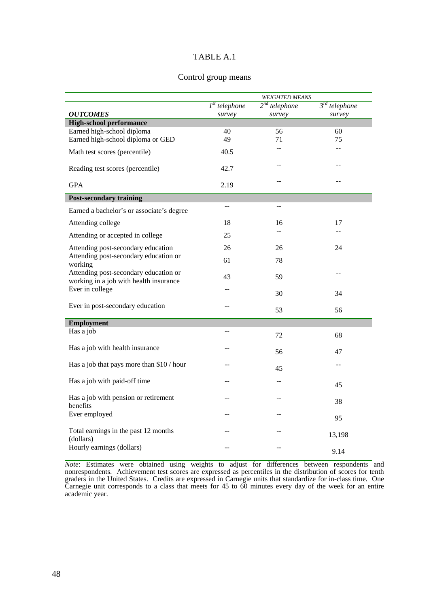## Control group means

|                                                                                 | <b>WEIGHTED MEANS</b> |                    |                               |  |  |
|---------------------------------------------------------------------------------|-----------------------|--------------------|-------------------------------|--|--|
|                                                                                 | $Ist$ telephone       | $2^{nd}$ telephone | $\overline{3^{rd}}$ telephone |  |  |
| <b>OUTCOMES</b>                                                                 | survey                | survey             | survey                        |  |  |
| <b>High-school performance</b>                                                  |                       |                    |                               |  |  |
| Earned high-school diploma                                                      | 40                    | 56                 | 60                            |  |  |
| Earned high-school diploma or GED                                               | 49                    | 71                 | 75                            |  |  |
| Math test scores (percentile)                                                   | 40.5                  | --                 | $\overline{a}$                |  |  |
| Reading test scores (percentile)                                                | 42.7                  | --                 | $-$                           |  |  |
| <b>GPA</b>                                                                      | 2.19                  | $-$                | $-$                           |  |  |
| <b>Post-secondary training</b>                                                  |                       |                    |                               |  |  |
| Earned a bachelor's or associate's degree                                       | $\overline{a}$        | $-$                |                               |  |  |
| Attending college                                                               | 18                    | 16                 | 17                            |  |  |
| Attending or accepted in college                                                | 25                    |                    |                               |  |  |
| Attending post-secondary education                                              | 26                    | 26                 | 24                            |  |  |
| Attending post-secondary education or<br>working                                | 61                    | 78                 |                               |  |  |
| Attending post-secondary education or<br>working in a job with health insurance | 43                    | 59                 |                               |  |  |
| Ever in college                                                                 |                       | 30                 | 34                            |  |  |
| Ever in post-secondary education                                                | $-$                   | 53                 | 56                            |  |  |
|                                                                                 |                       |                    |                               |  |  |
| <b>Employment</b>                                                               |                       |                    |                               |  |  |
| Has a job                                                                       | $-$                   | 72                 | 68                            |  |  |
| Has a job with health insurance                                                 | --                    | 56                 | 47                            |  |  |
| Has a job that pays more than \$10 / hour                                       | --                    | 45                 | $-$                           |  |  |
| Has a job with paid-off time                                                    | $-$                   | --                 | 45                            |  |  |
| Has a job with pension or retirement                                            | --                    | $-$                | 38                            |  |  |
| benefits<br>Ever employed                                                       | --                    |                    |                               |  |  |
|                                                                                 |                       |                    | 95                            |  |  |
| Total earnings in the past 12 months<br>(dollars)                               |                       |                    | 13,198                        |  |  |
| Hourly earnings (dollars)                                                       |                       |                    | 9.14                          |  |  |

*Note*: Estimates were obtained using weights to adjust for differences between respondents and nonrespondents. Achievement test scores are expressed as percentiles in the distribution of scores for tenth graders in the United States. Credits are expressed in Carnegie units that standardize for in-class time. One Carnegie unit corresponds to a class that meets for 45 to 60 minutes every day of the week for an entire academic year.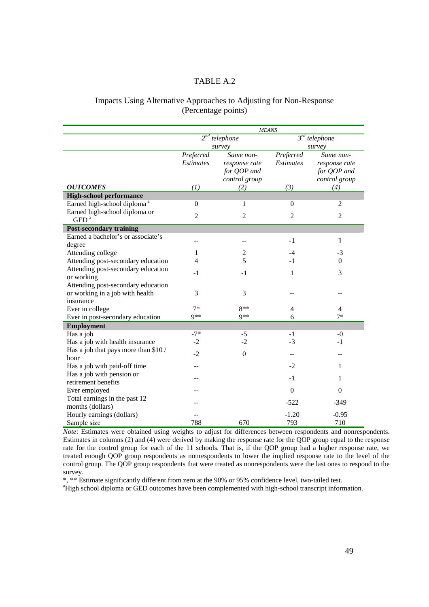## Impacts Using Alternative Approaches to Adjusting for Non-Response (Percentage points)

|                                         | <b>MEANS</b>     |                  |                  |                    |  |  |  |
|-----------------------------------------|------------------|------------------|------------------|--------------------|--|--|--|
|                                         | $2^{nd}$         | telephone        |                  | $3^{rd}$ telephone |  |  |  |
|                                         |                  | survey           |                  | survey             |  |  |  |
|                                         | Preferred        | Same non-        |                  | Same non-          |  |  |  |
|                                         | <b>Estimates</b> | response rate    | <i>Estimates</i> | response rate      |  |  |  |
|                                         |                  | for QOP and      |                  | for QOP and        |  |  |  |
|                                         |                  | control group    |                  | control group      |  |  |  |
| <b>OUTCOMES</b>                         | (1)              | (2)              | (3)              | (4)                |  |  |  |
| <b>High-school performance</b>          |                  |                  |                  |                    |  |  |  |
| Earned high-school diploma <sup>a</sup> | $\boldsymbol{0}$ | 1                | $\overline{0}$   | $\overline{2}$     |  |  |  |
| Earned high-school diploma or           | $\overline{2}$   | $\overline{2}$   | $\mathfrak{2}$   | $\overline{2}$     |  |  |  |
| GED <sup>a</sup>                        |                  |                  |                  |                    |  |  |  |
| <b>Post-secondary training</b>          |                  |                  |                  |                    |  |  |  |
| Earned a bachelor's or associate's      |                  |                  | $-1$             | 1                  |  |  |  |
| degree                                  |                  |                  |                  |                    |  |  |  |
| Attending college                       | 2<br>1           |                  | $-4$             | $-3$               |  |  |  |
| Attending post-secondary education      | $\overline{4}$   | 5                | $-1$             | $\Omega$           |  |  |  |
| Attending post-secondary education      | -1               | $-1$             | 1                | 3                  |  |  |  |
| or working                              |                  |                  |                  |                    |  |  |  |
| Attending post-secondary education      |                  |                  |                  |                    |  |  |  |
| or working in a job with health         | 3                | 3                |                  |                    |  |  |  |
| insurance                               |                  |                  |                  |                    |  |  |  |
| Ever in college                         | $7*$             | $8**$            | $\overline{4}$   | $\overline{4}$     |  |  |  |
| Ever in post-secondary education        | $Q$ **<br>$9**$  |                  | 6                | $7*$               |  |  |  |
| <b>Employment</b>                       |                  |                  |                  |                    |  |  |  |
| Has a job                               | $-7*$            | $-5$             | $-1$             | $-0$               |  |  |  |
| Has a job with health insurance         | $-2$             | $-2$             | $-3$             | $-1$               |  |  |  |
| Has a job that pays more than \$10/     | $-2$             | $\boldsymbol{0}$ | --               | --                 |  |  |  |
| hour                                    |                  |                  |                  |                    |  |  |  |
| Has a job with paid-off time            |                  |                  | $-2$             | 1                  |  |  |  |
| Has a job with pension or               | --               |                  | $-1$             | 1                  |  |  |  |
| retirement benefits                     |                  |                  |                  |                    |  |  |  |
| Ever employed                           |                  |                  | $\Omega$         | $\Omega$           |  |  |  |
| Total earnings in the past 12           |                  |                  | $-522$           | $-349$             |  |  |  |
| months (dollars)                        |                  |                  | $-1.20$          | $-0.95$            |  |  |  |
| Hourly earnings (dollars)               |                  |                  |                  |                    |  |  |  |
| Sample size                             | 788              | 670              | 793              | 710                |  |  |  |

*Note*: Estimates were obtained using weights to adjust for differences between respondents and nonrespondents. Estimates in columns (2) and (4) were derived by making the response rate for the QOP group equal to the response rate for the control group for each of the 11 schools. That is, if the QOP group had a higher response rate, we treated enough QOP group respondents as nonrespondents to lower the implied response rate to the level of the control group. The QOP group respondents that were treated as nonrespondents were the last ones to respond to the survey.

\*, \*\* Estimate significantly different from zero at the 90% or 95% confidence level, two-tailed test.

<sup>a</sup>High school diploma or GED outcomes have been complemented with high-school transcript information.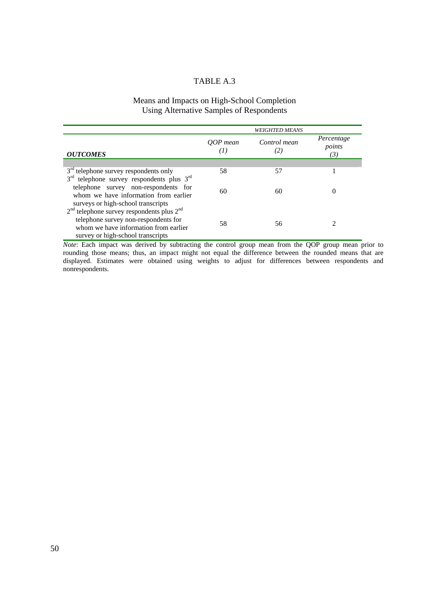## Means and Impacts on High-School Completion Using Alternative Samples of Respondents

|                                                                                                                                                                                          | <b>WEIGHTED MEANS</b> |                     |                             |  |
|------------------------------------------------------------------------------------------------------------------------------------------------------------------------------------------|-----------------------|---------------------|-----------------------------|--|
| <b>OUTCOMES</b>                                                                                                                                                                          | OOP mean<br>(I)       | Control mean<br>(2) | Percentage<br>points<br>(3) |  |
|                                                                                                                                                                                          |                       |                     |                             |  |
| $3rd$ telephone survey respondents only                                                                                                                                                  | 58                    | 57                  |                             |  |
| 3 <sup>rd</sup> telephone survey respondents plus 3 <sup>rd</sup><br>telephone survey non-respondents for<br>whom we have information from earlier<br>surveys or high-school transcripts | 60                    | 60                  |                             |  |
| $2nd$ telephone survey respondents plus $2nd$<br>telephone survey non-respondents for<br>whom we have information from earlier<br>survey or high-school transcripts                      | 58                    | 56                  |                             |  |

*Note*: Each impact was derived by subtracting the control group mean from the QOP group mean prior to rounding those means; thus, an impact might not equal the difference between the rounded means that are displayed. Estimates were obtained using weights to adjust for differences between respondents and nonrespondents.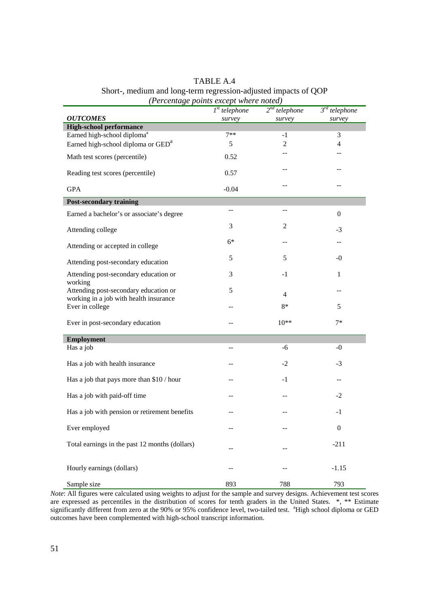| TABLE A.4                                                       |
|-----------------------------------------------------------------|
| Short-, medium and long-term regression-adjusted impacts of QOP |
| (Percentage points except where noted)                          |

| <b>OUTCOMES</b>                                                                 | $Ist$ telephone<br>survey | $2^{nd}$ telephone<br>survey | $3^{rd}$ telephone<br>survey |  |  |
|---------------------------------------------------------------------------------|---------------------------|------------------------------|------------------------------|--|--|
| <b>High-school performance</b>                                                  |                           |                              |                              |  |  |
| Earned high-school diploma <sup>a</sup>                                         | $7**$                     | $-1$                         | 3                            |  |  |
| Earned high-school diploma or GED <sup>a</sup>                                  | 5                         | 2                            | 4                            |  |  |
| Math test scores (percentile)                                                   | 0.52                      |                              |                              |  |  |
| Reading test scores (percentile)                                                | 0.57                      |                              |                              |  |  |
| <b>GPA</b>                                                                      | $-0.04$                   |                              |                              |  |  |
| <b>Post-secondary training</b>                                                  |                           |                              |                              |  |  |
| Earned a bachelor's or associate's degree                                       | --                        |                              | $\boldsymbol{0}$             |  |  |
| Attending college                                                               | 3                         | 2                            | $-3$                         |  |  |
| Attending or accepted in college                                                | $6*$                      |                              |                              |  |  |
| Attending post-secondary education                                              | 5                         | 5                            | -0                           |  |  |
| Attending post-secondary education or<br>working                                | 3                         | $-1$                         | 1                            |  |  |
| Attending post-secondary education or<br>working in a job with health insurance | 5                         | 4                            |                              |  |  |
| Ever in college                                                                 | --                        | $8*$                         | 5                            |  |  |
| Ever in post-secondary education                                                |                           | $10**$                       | $7*$                         |  |  |
| <b>Employment</b>                                                               |                           |                              |                              |  |  |
| Has a job                                                                       | --                        | -6                           | $-0$                         |  |  |
| Has a job with health insurance                                                 |                           | $-2$                         | $-3$                         |  |  |
| Has a job that pays more than \$10 / hour                                       | --                        | $-1$                         | --                           |  |  |
| Has a job with paid-off time                                                    |                           |                              | $-2$                         |  |  |
| Has a job with pension or retirement benefits                                   |                           |                              | -1                           |  |  |
| Ever employed                                                                   |                           |                              | $\theta$                     |  |  |
| Total earnings in the past 12 months (dollars)                                  |                           |                              | $-211$                       |  |  |
| Hourly earnings (dollars)                                                       |                           |                              | $-1.15$                      |  |  |
| Sample size                                                                     | 893                       | 788                          | 793                          |  |  |

*Note*: All figures were calculated using weights to adjust for the sample and survey designs. Achievement test scores are expressed as percentiles in the distribution of scores for tenth graders in the United States. \*, \*\* Estimate significantly different from zero at the 90% or 95% confidence level, two-tailed test. <sup>a</sup>High school diploma or GED outcomes have been complemented with high-school transcript information.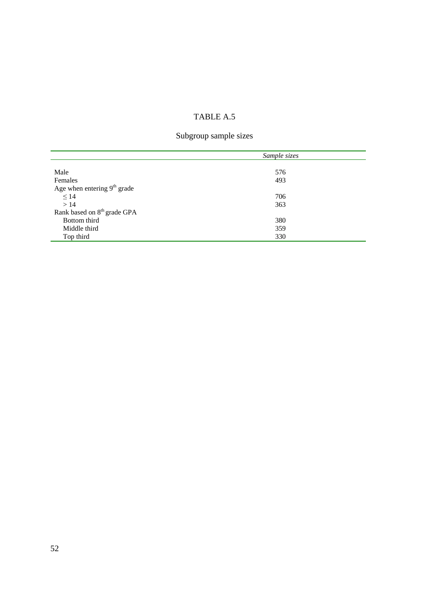## Subgroup sample sizes

|                                         | Sample sizes |  |  |
|-----------------------------------------|--------------|--|--|
|                                         |              |  |  |
| Male                                    | 576          |  |  |
| Females                                 | 493          |  |  |
| Age when entering $9th$ grade           |              |  |  |
| $\leq$ 14                               | 706          |  |  |
| >14                                     | 363          |  |  |
| Rank based on 8 <sup>th</sup> grade GPA |              |  |  |
| Bottom third                            | 380          |  |  |
| Middle third                            | 359          |  |  |
| Top third                               | 330          |  |  |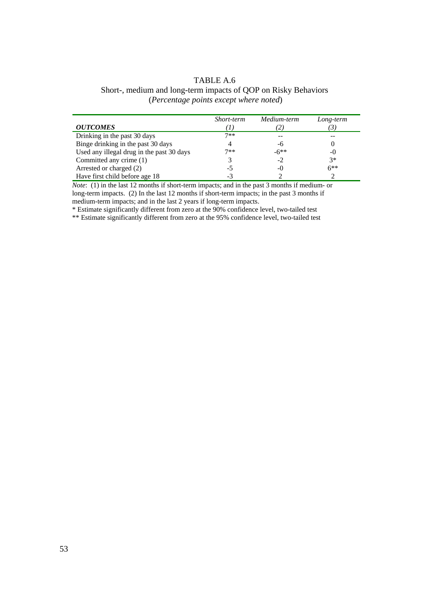| TABLE A.6                                                      |
|----------------------------------------------------------------|
| Short-, medium and long-term impacts of QOP on Risky Behaviors |
| ( <i>Percentage points except where noted</i> )                |

|                                           | Short-term | Medium-term | Long-term |
|-------------------------------------------|------------|-------------|-----------|
| <i><b>OUTCOMES</b></i>                    |            |             | 3         |
| Drinking in the past 30 days              | $7**$      |             |           |
| Binge drinking in the past 30 days        | 4          | -6          |           |
| Used any illegal drug in the past 30 days | $7**$      | $-6**$      | -0        |
| Committed any crime (1)                   |            | $-2$        | $3*$      |
| Arrested or charged (2)                   | -5         | $-()$       | $6**$     |
| Have first child before age 18            | - 1        |             |           |

*Note*: (1) in the last 12 months if short-term impacts; and in the past 3 months if medium- or long-term impacts. (2) In the last 12 months if short-term impacts; in the past 3 months if medium-term impacts; and in the last 2 years if long-term impacts.

\* Estimate significantly different from zero at the 90% confidence level, two-tailed test

\*\* Estimate significantly different from zero at the 95% confidence level, two-tailed test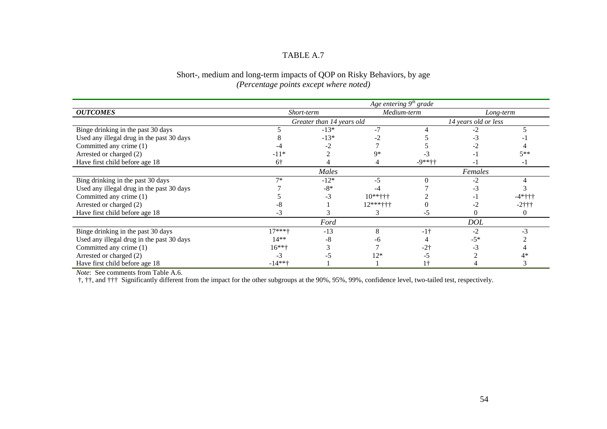## Short-, medium and long-term impacts of QOP on Risky Behaviors, by age *(Percentage points except where noted)*

|                                           | Age entering $9^{\text{th}}$ grade |                           |               |             |                      |           |  |  |
|-------------------------------------------|------------------------------------|---------------------------|---------------|-------------|----------------------|-----------|--|--|
| <b>OUTCOMES</b>                           | Short-term                         |                           |               | Medium-term |                      | Long-term |  |  |
|                                           |                                    | Greater than 14 years old |               |             | 14 years old or less |           |  |  |
| Binge drinking in the past 30 days        |                                    | $-13*$                    |               |             |                      |           |  |  |
| Used any illegal drug in the past 30 days |                                    | $-13*$                    |               |             |                      |           |  |  |
| Committed any crime (1)                   |                                    |                           |               |             |                      |           |  |  |
| Arrested or charged (2)                   | $-11*$                             |                           | q*            |             |                      | $5**$     |  |  |
| Have first child before age 18            | $6+$                               |                           |               | $-9***++$   |                      | - 1       |  |  |
|                                           |                                    | Males                     |               |             | Females              |           |  |  |
| Bing drinking in the past 30 days         | $7*$                               | $-12*$                    | $-5$          |             |                      |           |  |  |
| Used any illegal drug in the past 30 days |                                    | $-8*$                     |               |             |                      |           |  |  |
| Committed any crime (1)                   |                                    | -3                        | $10***$ + + + |             |                      | $-4*++$   |  |  |
| Arrested or charged (2)                   |                                    |                           | $12***$ +++   |             |                      | $-2$ †††  |  |  |
| Have first child before age 18            |                                    |                           |               |             |                      |           |  |  |
|                                           |                                    | Ford                      |               |             | <b>DOL</b>           |           |  |  |
| Binge drinking in the past 30 days        | $17***$                            | $-13$                     |               | $-1+$       |                      |           |  |  |
| Used any illegal drug in the past 30 days | $14**$                             | -8                        |               |             | $-5*$                |           |  |  |
| Committed any crime (1)                   | $16***$                            |                           |               |             |                      |           |  |  |
| Arrested or charged (2)                   |                                    |                           | $12*$         |             |                      |           |  |  |
| Have first child before age 18            | $-14**+$                           |                           |               |             |                      |           |  |  |

*Note*: See comments from Table A.6.

†, ††, and ††† Significantly different from the impact for the other subgroups at the 90%, 95%, 99%, confidence level, two-tailed test, respectively.